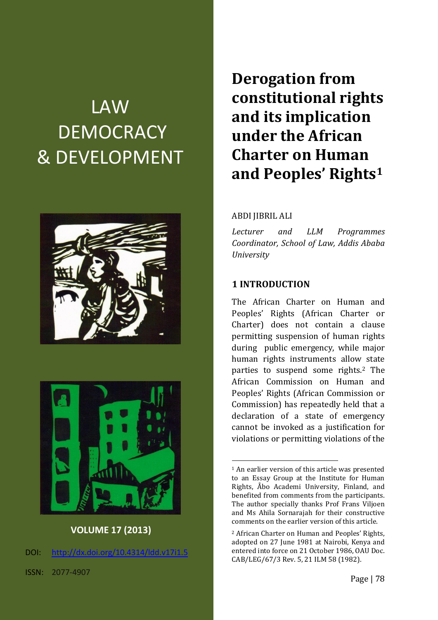# LAW **DEMOCRACY** & DEVELOPMENT





**VOLUME 17 (2013)**

DOI: [http://dx.doi.org/10.4314/ldd.v17i1.5](http://dx.doi.org/10.4314/ldd.v17i1.)

**Derogation from constitutional rights and its implication under the African Charter on Human and Peoples' Rights<sup>1</sup>**

#### ABDI JIBRIL ALI

*Lecturer and LLM Programmes Coordinator, School of Law, Addis Ababa University*

#### **1 INTRODUCTION**

1

The African Charter on Human and Peoples' Rights (African Charter or Charter) does not contain a clause permitting suspension of human rights during public emergency, while major human rights instruments allow state parties to suspend some rights.<sup>2</sup> The African Commission on Human and Peoples' Rights (African Commission or Commission) has repeatedly held that a declaration of a state of emergency cannot be invoked as a justification for violations or permitting violations of the

<sup>&</sup>lt;sup>1</sup> An earlier version of this article was presented to an Essay Group at the Institute for Human Rights, Åbo Academi University, Finland, and benefited from comments from the participants. The author specially thanks Prof Frans Viljoen and Ms Ahila Sornarajah for their constructive comments on the earlier version of this article.

<sup>2</sup> African Charter on Human and Peoples' Rights, adopted on 27 June 1981 at Nairobi, Kenya and entered into force on 21 October 1986, OAU Doc. CAB/LEG/67/3 Rev. 5, 21 ILM 58 (1982).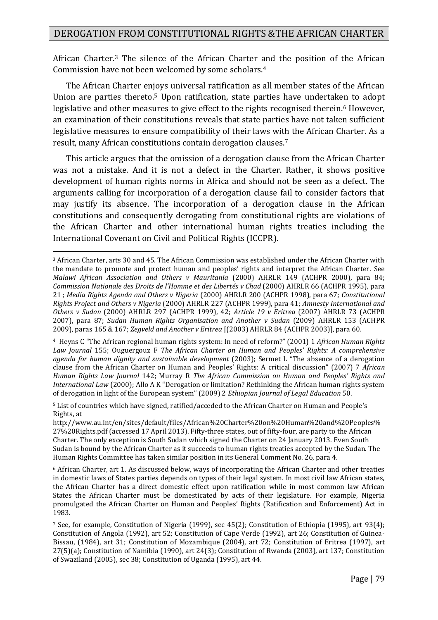African Charter.<sup>3</sup> The silence of the African Charter and the position of the African Commission have not been welcomed by some scholars.<sup>4</sup>

The African Charter enjoys universal ratification as all member states of the African Union are parties thereto.<sup>5</sup> Upon ratification, state parties have undertaken to adopt legislative and other measures to give effect to the rights recognised therein.<sup>6</sup> However, an examination of their constitutions reveals that state parties have not taken sufficient legislative measures to ensure compatibility of their laws with the African Charter. As a result, many African constitutions contain derogation clauses.<sup>7</sup>

This article argues that the omission of a derogation clause from the African Charter was not a mistake. And it is not a defect in the Charter. Rather, it shows positive development of human rights norms in Africa and should not be seen as a defect. The arguments calling for incorporation of a derogation clause fail to consider factors that may justify its absence. The incorporation of a derogation clause in the African constitutions and consequently derogating from constitutional rights are violations of the African Charter and other international human rights treaties including the International Covenant on Civil and Political Rights (ICCPR).

<sup>3</sup> African Charter, arts 30 and 45. The African Commission was established under the African Charter with the mandate to promote and protect human and peoples' rights and interpret the African Charter. See *Malawi African Association and Others v Mauritania* (2000) AHRLR 149 (ACHPR 2000), para 84; *Commission Nationale des Droits de l'Homme et des Libertés v Chad* (2000) AHRLR 66 (ACHPR 1995), para 21 ; *Media Rights Agenda and Others v Nigeria* (2000) AHRLR 200 (ACHPR 1998), para 67; *Constitutional Rights Project and Others v Nigeria* (2000) AHRLR 227 (ACHPR 1999), para 41; *Amnesty International and Others v Sudan* (2000) AHRLR 297 (ACHPR 1999), 42; *Article 19 v Eritrea* (2007) AHRLR 73 (ACHPR 2007), para 87; *Sudan Human Rights Organisation and Another v Sudan* (2009) AHRLR 153 (ACHPR 2009), paras 165 & 167; *Zegveld and Another v Eritrea* [(2003) AHRLR 84 (ACHPR 2003)], para 60.

<sup>4</sup> Heyns C "The African regional human rights system: In need of reform?" (2001) 1 *African Human Rights Law Journal* 155; Ouguergouz F *The African Charter on Human and Peoples' Rights: A comprehensive agenda for human dignity and sustainable development* (2003); Sermet L "The absence of a derogation clause from the African Charter on Human and Peoples' Rights: A critical discussion" (2007) 7 *African Human Rights Law Journal* 142; Murray R *The African Commission on Human and Peoples' Rights and International Law* (2000); Allo A K "Derogation or limitation? Rethinking the African human rights system of derogation in light of the European system" (2009) 2 *Ethiopian Journal of Legal Education* 50.

<sup>5</sup> List of countries which have signed, ratified/acceded to the African Charter on Human and People's Rights, at

http://www.au.int/en/sites/default/files/African%20Charter%20on%20Human%20and%20Peoples% 27%20Rights.pdf (accessed 17 April 2013). Fifty-three states, out of fifty-four, are party to the African Charter. The only exception is South Sudan which signed the Charter on 24 January 2013. Even South Sudan is bound by the African Charter as it succeeds to human rights treaties accepted by the Sudan. The Human Rights Committee has taken similar position in its General Comment No. 26, para 4.

<sup>6</sup> African Charter, art 1. As discussed below, ways of incorporating the African Charter and other treaties in domestic laws of States parties depends on types of their legal system. In most civil law African states, the African Charter has a direct domestic effect upon ratification while in most common law African States the African Charter must be domesticated by acts of their legislature. For example. Nigeria promulgated the African Charter on Human and Peoples' Rights (Ratification and Enforcement) Act in 1983.

<sup>7</sup> See, for example, Constitution of Nigeria (1999), sec 45(2); Constitution of Ethiopia (1995), art 93(4); Constitution of Angola (1992), art 52; Constitution of Cape Verde (1992), art 26; Constitution of Guinea-Bissau, (1984), art 31; Constitution of Mozambique (2004), art 72; Constitution of Eritrea (1997), art 27(5)(a); Constitution of Namibia (1990), art 24(3); Constitution of Rwanda (2003), art 137; Constitution of Swaziland (2005), sec 38; Constitution of Uganda (1995), art 44.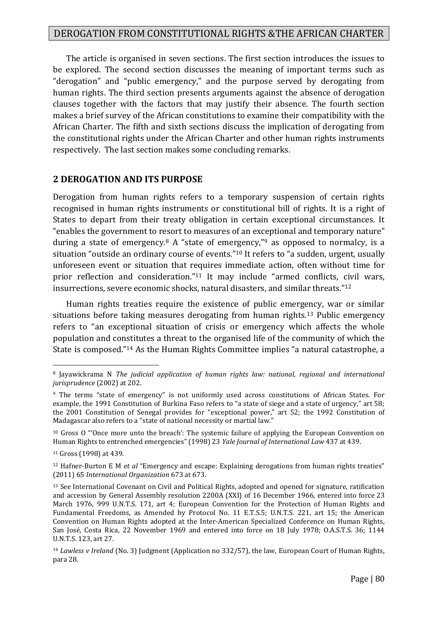The article is organised in seven sections. The first section introduces the issues to be explored. The second section discusses the meaning of important terms such as "derogation" and "public emergency," and the purpose served by derogating from human rights. The third section presents arguments against the absence of derogation clauses together with the factors that may justify their absence. The fourth section makes a brief survey of the African constitutions to examine their compatibility with the African Charter. The fifth and sixth sections discuss the implication of derogating from the constitutional rights under the African Charter and other human rights instruments respectively. The last section makes some concluding remarks.

#### **2 DEROGATION AND ITS PURPOSE**

Derogation from human rights refers to a temporary suspension of certain rights recognised in human rights instruments or constitutional bill of rights. It is a right of States to depart from their treaty obligation in certain exceptional circumstances. It "enables the government to resort to measures of an exceptional and temporary nature" during a state of emergency.<sup>8</sup> A "state of emergency,"<sup>9</sup> as opposed to normalcy, is a situation "outside an ordinary course of events."<sup>10</sup> It refers to "a sudden, urgent, usually unforeseen event or situation that requires immediate action, often without time for prior reflection and consideration."<sup>11</sup> It may include "armed conflicts, civil wars, insurrections, severe economic shocks, natural disasters, and similar threats."<sup>12</sup>

Human rights treaties require the existence of public emergency, war or similar situations before taking measures derogating from human rights.<sup>13</sup> Public emergency refers to "an exceptional situation of crisis or emergency which affects the whole population and constitutes a threat to the organised life of the community of which the State is composed."<sup>14</sup> As the Human Rights Committee implies "a natural catastrophe, a

<sup>10</sup> Gross O "'Once more unto the breach': The systemic failure of applying the European Convention on Human Rights to entrenched emergencies" (1998) 23 *Yale Journal of International Law* 437 at 439.

<sup>8</sup> Jayawickrama N *The judicial application of human rights law: national, regional and international jurisprudence* (2002) at 202.

<sup>9</sup> The terms "state of emergency" is not uniformly used across constitutions of African States. For example, the 1991 Constitution of Burkina Faso refers to "a state of siege and a state of urgency," art 58; the 2001 Constitution of Senegal provides for "exceptional power," art 52; the 1992 Constitution of Madagascar also refers to a "state of national necessity or martial law."

<sup>11</sup> Gross (1998) at 439.

<sup>12</sup> Hafner-Burton E M *et al* "Emergency and escape: Explaining derogations from human rights treaties" (2011) 65 *International Organization* 673 at 673.

<sup>13</sup> See International Covenant on Civil and Political Rights, adopted and opened for signature, ratification and accession by General Assembly resolution 2200A (XXI) of 16 December 1966, entered into force 23 March 1976, 999 U.N.T.S. 171, art 4; European Convention for the Protection of Human Rights and Fundamental Freedoms, as Amended by Protocol No. 11 E.T.S.5; U.N.T.S. 221, art 15; the American Convention on Human Rights adopted at the Inter-American Specialized Conference on Human Rights, San José, Costa Rica, 22 November 1969 and entered into force on 18 July 1978; O.A.S.T.S. 36; 1144 U.N.T.S. 123, art 27.

<sup>14</sup> *Lawless v Ireland* (No. 3) Judgment (Application no 332/57), the law, European Court of Human Rights, para 28.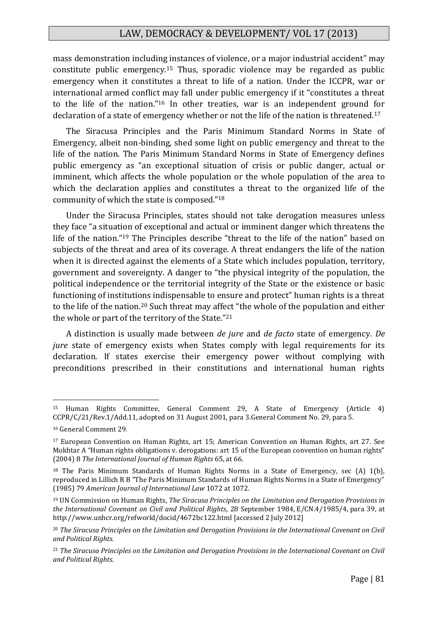mass demonstration including instances of violence, or a major industrial accident" may constitute public emergency.<sup>15</sup> Thus, sporadic violence may be regarded as public emergency when it constitutes a threat to life of a nation. Under the ICCPR, war or international armed conflict may fall under public emergency if it "constitutes a threat to the life of the nation."<sup>16</sup> In other treaties, war is an independent ground for declaration of a state of emergency whether or not the life of the nation is threatened.<sup>17</sup>

The Siracusa Principles and the Paris Minimum Standard Norms in State of Emergency, albeit non-binding, shed some light on public emergency and threat to the life of the nation. The Paris Minimum Standard Norms in State of Emergency defines public emergency as "an exceptional situation of crisis or public danger, actual or imminent, which affects the whole population or the whole population of the area to which the declaration applies and constitutes a threat to the organized life of the community of which the state is composed."<sup>18</sup>

Under the Siracusa Principles, states should not take derogation measures unless they face "a situation of exceptional and actual or imminent danger which threatens the life of the nation."<sup>19</sup> The Principles describe "threat to the life of the nation" based on subjects of the threat and area of its coverage. A threat endangers the life of the nation when it is directed against the elements of a State which includes population, territory, government and sovereignty. A danger to "the physical integrity of the population, the political independence or the territorial integrity of the State or the existence or basic functioning of institutions indispensable to ensure and protect" human rights is a threat to the life of the nation.<sup>20</sup> Such threat may affect "the whole of the population and either the whole or part of the territory of the State."<sup>21</sup>

A distinction is usually made between *de jure* and *de facto* state of emergency. *De jure* state of emergency exists when States comply with legal requirements for its declaration. If states exercise their emergency power without complying with preconditions prescribed in their constitutions and international human rights

<sup>15</sup> Human Rights Committee, General Comment 29, A State of Emergency (Article 4) CCPR/C/21/Rev.1/Add.11, adopted on 31 August 2001, para 3.General Comment No. 29, para 5.

<sup>16</sup> General Comment 29*.*

<sup>17</sup> European Convention on Human Rights, art 15; American Convention on Human Rights, art 27. See Mokhtar A "Human rights obligations v. derogations: art 15 of the European convention on human rights" (2004) 8 *The International Journal of Human Rights* 65, at 66.

<sup>18</sup> The Paris Minimum Standards of Human Rights Norms in a State of Emergency, sec (A) 1(b), reproduced in Lillich R B "The Paris Minimum Standards of Human Rights Norms in a State of Emergency" (1985) 79 *American Journal of International Law* 1072 at 1072.

<sup>19</sup> UN Commission on Human Rights, *The Siracusa Principles on the Limitation and Derogation Provisions in the International Covenant on Civil and Political Rights*, 28 September 1984, E/CN.4/1985/4, para 39, at http://www.unhcr.org/refworld/docid/4672bc122.html [accessed 2 July 2012]

<sup>20</sup> *The Siracusa Principles on the Limitation and Derogation Provisions in the International Covenant on Civil and Political Rights.*

<sup>21</sup> *The Siracusa Principles on the Limitation and Derogation Provisions in the International Covenant on Civil and Political Rights.*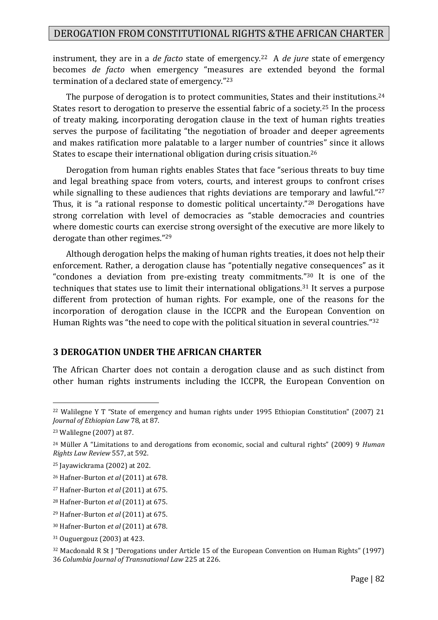instrument, they are in a *de facto* state of emergency.<sup>22</sup> A *de jure* state of emergency becomes *de facto* when emergency "measures are extended beyond the formal termination of a declared state of emergency."<sup>23</sup>

The purpose of derogation is to protect communities, States and their institutions.<sup>24</sup> States resort to derogation to preserve the essential fabric of a society.<sup>25</sup> In the process of treaty making, incorporating derogation clause in the text of human rights treaties serves the purpose of facilitating "the negotiation of broader and deeper agreements and makes ratification more palatable to a larger number of countries" since it allows States to escape their international obligation during crisis situation.<sup>26</sup>

Derogation from human rights enables States that face "serious threats to buy time and legal breathing space from voters, courts, and interest groups to confront crises while signalling to these audiences that rights deviations are temporary and lawful."27 Thus, it is "a rational response to domestic political uncertainty."<sup>28</sup> Derogations have strong correlation with level of democracies as "stable democracies and countries where domestic courts can exercise strong oversight of the executive are more likely to derogate than other regimes."<sup>29</sup>

Although derogation helps the making of human rights treaties, it does not help their enforcement. Rather, a derogation clause has "potentially negative consequences" as it "condones a deviation from pre-existing treaty commitments."<sup>30</sup> It is one of the techniques that states use to limit their international obligations.<sup>31</sup> It serves a purpose different from protection of human rights. For example, one of the reasons for the incorporation of derogation clause in the ICCPR and the European Convention on Human Rights was "the need to cope with the political situation in several countries."<sup>32</sup>

#### **3 DEROGATION UNDER THE AFRICAN CHARTER**

The African Charter does not contain a derogation clause and as such distinct from other human rights instruments including the ICCPR, the European Convention on

<sup>22</sup> Walilegne Y T "State of emergency and human rights under 1995 Ethiopian Constitution" (2007) 21 *Journal of Ethiopian Law* 78, at 87.

<sup>23</sup> Walilegne (2007) at 87.

<sup>24</sup> Müller A "Limitations to and derogations from economic, social and cultural rights" (2009) 9 *Human Rights Law Review* 557, at 592.

<sup>25</sup> Jayawickrama (2002) at 202.

<sup>26</sup> Hafner-Burton *et al* (2011) at 678.

<sup>27</sup> Hafner-Burton *et al* (2011) at 675.

<sup>28</sup> Hafner-Burton *et al* (2011) at 675.

<sup>29</sup> Hafner-Burton *et al* (2011) at 675.

<sup>30</sup> Hafner-Burton *et al* (2011) at 678.

<sup>31</sup> Ouguergouz (2003) at 423.

<sup>32</sup> Macdonald R St J "Derogations under Article 15 of the European Convention on Human Rights" (1997) 36 *Columbia Journal of Transnational Law* 225 at 226.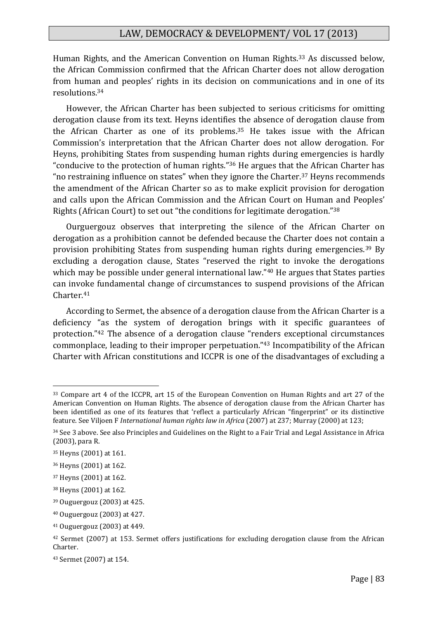Human Rights, and the American Convention on Human Rights.<sup>33</sup> As discussed below, the African Commission confirmed that the African Charter does not allow derogation from human and peoples' rights in its decision on communications and in one of its resolutions.<sup>34</sup>

However, the African Charter has been subjected to serious criticisms for omitting derogation clause from its text. Heyns identifies the absence of derogation clause from the African Charter as one of its problems.<sup>35</sup> He takes issue with the African Commission's interpretation that the African Charter does not allow derogation. For Heyns, prohibiting States from suspending human rights during emergencies is hardly "conducive to the protection of human rights."<sup>36</sup> He argues that the African Charter has "no restraining influence on states" when they ignore the Charter.<sup>37</sup> Heyns recommends the amendment of the African Charter so as to make explicit provision for derogation and calls upon the African Commission and the African Court on Human and Peoples' Rights (African Court) to set out "the conditions for legitimate derogation."<sup>38</sup>

Ourguergouz observes that interpreting the silence of the African Charter on derogation as a prohibition cannot be defended because the Charter does not contain a provision prohibiting States from suspending human rights during emergencies.<sup>39</sup> By excluding a derogation clause, States "reserved the right to invoke the derogations which may be possible under general international law."<sup>40</sup> He argues that States parties can invoke fundamental change of circumstances to suspend provisions of the African Charter.<sup>41</sup>

According to Sermet, the absence of a derogation clause from the African Charter is a deficiency "as the system of derogation brings with it specific guarantees of protection."<sup>42</sup> The absence of a derogation clause "renders exceptional circumstances commonplace, leading to their improper perpetuation."<sup>43</sup> Incompatibility of the African Charter with African constitutions and ICCPR is one of the disadvantages of excluding a

<sup>33</sup> Compare art 4 of the ICCPR, art 15 of the European Convention on Human Rights and art 27 of the American Convention on Human Rights. The absence of derogation clause from the African Charter has been identified as one of its features that 'reflect a particularly African "fingerprint" or its distinctive feature. See Viljoen F *International human rights law in Africa* (2007) at 237; Murray (2000) at 123;

<sup>34</sup> See 3 above. See also Principles and Guidelines on the Right to a Fair Trial and Legal Assistance in Africa (2003), para R.

<sup>35</sup> Heyns (2001) at 161.

<sup>36</sup> Heyns (2001) at 162.

<sup>37</sup> Heyns (2001) at 162.

<sup>38</sup> Heyns (2001) at 162*.*

<sup>39</sup> Ouguergouz (2003) at 425.

<sup>40</sup> Ouguergouz (2003) at 427.

<sup>41</sup> Ouguergouz (2003) at 449.

<sup>42</sup> Sermet (2007) at 153. Sermet offers justifications for excluding derogation clause from the African Charter.

<sup>43</sup> Sermet (2007) at 154.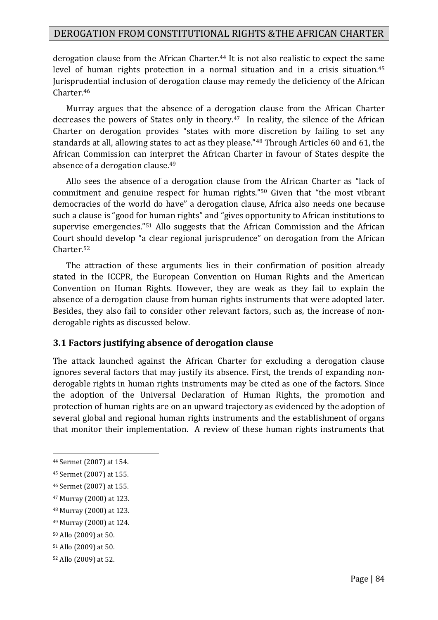derogation clause from the African Charter.<sup>44</sup> It is not also realistic to expect the same level of human rights protection in a normal situation and in a crisis situation.<sup>45</sup> Jurisprudential inclusion of derogation clause may remedy the deficiency of the African Charter.<sup>46</sup>

Murray argues that the absence of a derogation clause from the African Charter decreases the powers of States only in theory.<sup>47</sup> In reality, the silence of the African Charter on derogation provides "states with more discretion by failing to set any standards at all, allowing states to act as they please."<sup>48</sup> Through Articles 60 and 61, the African Commission can interpret the African Charter in favour of States despite the absence of a derogation clause.<sup>49</sup>

Allo sees the absence of a derogation clause from the African Charter as "lack of commitment and genuine respect for human rights."<sup>50</sup> Given that "the most vibrant democracies of the world do have" a derogation clause, Africa also needs one because such a clause is "good for human rights" and "gives opportunity to African institutions to supervise emergencies."<sup>51</sup> Allo suggests that the African Commission and the African Court should develop "a clear regional jurisprudence" on derogation from the African Charter.<sup>52</sup>

The attraction of these arguments lies in their confirmation of position already stated in the ICCPR, the European Convention on Human Rights and the American Convention on Human Rights. However, they are weak as they fail to explain the absence of a derogation clause from human rights instruments that were adopted later. Besides, they also fail to consider other relevant factors, such as, the increase of nonderogable rights as discussed below.

#### **3.1 Factors justifying absence of derogation clause**

The attack launched against the African Charter for excluding a derogation clause ignores several factors that may justify its absence. First, the trends of expanding nonderogable rights in human rights instruments may be cited as one of the factors. Since the adoption of the Universal Declaration of Human Rights, the promotion and protection of human rights are on an upward trajectory as evidenced by the adoption of several global and regional human rights instruments and the establishment of organs that monitor their implementation. A review of these human rights instruments that

<sup>44</sup> Sermet (2007) at 154.

<sup>45</sup> Sermet (2007) at 155.

<sup>46</sup> Sermet (2007) at 155.

<sup>47</sup> Murray (2000) at 123.

<sup>48</sup> Murray (2000) at 123.

<sup>49</sup> Murray (2000) at 124.

<sup>50</sup> Allo (2009) at 50.

<sup>51</sup> Allo (2009) at 50.

<sup>52</sup> Allo (2009) at 52.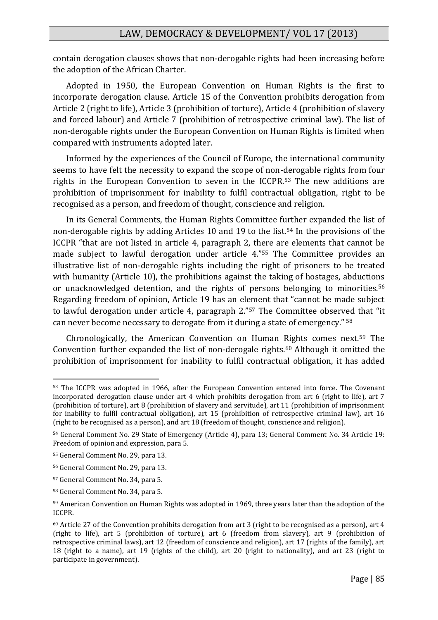contain derogation clauses shows that non-derogable rights had been increasing before the adoption of the African Charter.

Adopted in 1950, the European Convention on Human Rights is the first to incorporate derogation clause. Article 15 of the Convention prohibits derogation from Article 2 (right to life), Article 3 (prohibition of torture), Article 4 (prohibition of slavery and forced labour) and Article 7 (prohibition of retrospective criminal law). The list of non-derogable rights under the European Convention on Human Rights is limited when compared with instruments adopted later.

Informed by the experiences of the Council of Europe, the international community seems to have felt the necessity to expand the scope of non-derogable rights from four rights in the European Convention to seven in the ICCPR.<sup>53</sup> The new additions are prohibition of imprisonment for inability to fulfil contractual obligation, right to be recognised as a person, and freedom of thought, conscience and religion.

In its General Comments, the Human Rights Committee further expanded the list of non-derogable rights by adding Articles 10 and 19 to the list.<sup>54</sup> In the provisions of the ICCPR "that are not listed in article 4, paragraph 2, there are elements that cannot be made subject to lawful derogation under article 4."<sup>55</sup> The Committee provides an illustrative list of non-derogable rights including the right of prisoners to be treated with humanity (Article 10), the prohibitions against the taking of hostages, abductions or unacknowledged detention, and the rights of persons belonging to minorities.<sup>56</sup> Regarding freedom of opinion, Article 19 has an element that "cannot be made subject to lawful derogation under article 4, paragraph 2."<sup>57</sup> The Committee observed that "it can never become necessary to derogate from it during a state of emergency." <sup>58</sup>

Chronologically, the American Convention on Human Rights comes next.<sup>59</sup> The Convention further expanded the list of non-derogale rights.<sup>60</sup> Although it omitted the prohibition of imprisonment for inability to fulfil contractual obligation, it has added

<sup>53</sup> The ICCPR was adopted in 1966, after the European Convention entered into force. The Covenant incorporated derogation clause under art 4 which prohibits derogation from art 6 (right to life), art 7 (prohibition of torture), art 8 (prohibition of slavery and servitude), art 11 (prohibition of imprisonment for inability to fulfil contractual obligation), art 15 (prohibition of retrospective criminal law), art 16 (right to be recognised as a person), and art 18 (freedom of thought, conscience and religion).

<sup>54</sup> General Comment No. 29 State of Emergency (Article 4), para 13; General Comment No. 34 Article 19: Freedom of opinion and expression, para 5.

<sup>55</sup> General Comment No. 29, para 13.

<sup>56</sup> General Comment No. 29, para 13.

<sup>57</sup> General Comment No. 34, para 5.

<sup>58</sup> General Comment No. 34, para 5.

<sup>59</sup> American Convention on Human Rights was adopted in 1969, three years later than the adoption of the ICCPR.

 $60$  Article 27 of the Convention prohibits derogation from art 3 (right to be recognised as a person), art 4 (right to life), art 5 (prohibition of torture), art 6 (freedom from slavery), art 9 (prohibition of retrospective criminal laws), art 12 (freedom of conscience and religion), art 17 (rights of the family), art 18 (right to a name), art 19 (rights of the child), art 20 (right to nationality), and art 23 (right to participate in government).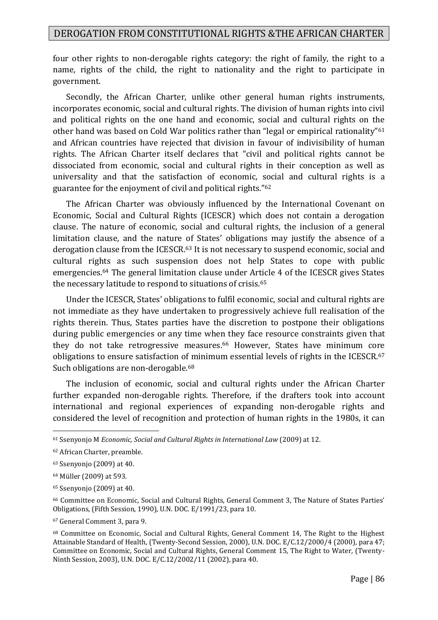four other rights to non-derogable rights category: the right of family, the right to a name, rights of the child, the right to nationality and the right to participate in government.

Secondly, the African Charter, unlike other general human rights instruments, incorporates economic, social and cultural rights. The division of human rights into civil and political rights on the one hand and economic, social and cultural rights on the other hand was based on Cold War politics rather than "legal or empirical rationality"<sup>61</sup> and African countries have rejected that division in favour of indivisibility of human rights. The African Charter itself declares that "civil and political rights cannot be dissociated from economic, social and cultural rights in their conception as well as universality and that the satisfaction of economic, social and cultural rights is a guarantee for the enjoyment of civil and political rights."<sup>62</sup>

The African Charter was obviously influenced by the International Covenant on Economic, Social and Cultural Rights (ICESCR) which does not contain a derogation clause. The nature of economic, social and cultural rights, the inclusion of a general limitation clause, and the nature of States' obligations may justify the absence of a derogation clause from the ICESCR.<sup>63</sup> It is not necessary to suspend economic, social and cultural rights as such suspension does not help States to cope with public emergencies.<sup>64</sup> The general limitation clause under Article 4 of the ICESCR gives States the necessary latitude to respond to situations of crisis.<sup>65</sup>

Under the ICESCR, States' obligations to fulfil economic, social and cultural rights are not immediate as they have undertaken to progressively achieve full realisation of the rights therein. Thus, States parties have the discretion to postpone their obligations during public emergencies or any time when they face resource constraints given that they do not take retrogressive measures.<sup>66</sup> However, States have minimum core obligations to ensure satisfaction of minimum essential levels of rights in the ICESCR.<sup>67</sup> Such obligations are non-derogable.<sup>68</sup>

The inclusion of economic, social and cultural rights under the African Charter further expanded non-derogable rights. Therefore, if the drafters took into account international and regional experiences of expanding non-derogable rights and considered the level of recognition and protection of human rights in the 1980s, it can

<sup>61</sup> Ssenyonjo M *Economic, Social and Cultural Rights in International Law* (2009) at 12.

<sup>62</sup> African Charter, preamble.

<sup>63</sup> Ssenyonjo (2009) at 40.

<sup>64</sup> Müller (2009) at 593.

<sup>65</sup> Ssenyonjo (2009) at 40.

<sup>66</sup> Committee on Economic, Social and Cultural Rights, General Comment 3, The Nature of States Parties' Obligations, (Fifth Session, 1990), U.N. DOC. E/1991/23, para 10.

<sup>67</sup> General Comment 3, para 9.

<sup>68</sup> Committee on Economic, Social and Cultural Rights, General Comment 14, The Right to the Highest Attainable Standard of Health, (Twenty-Second Session, 2000), U.N. DOC. E/C.12/2000/4 (2000), para 47; Committee on Economic, Social and Cultural Rights, General Comment 15, The Right to Water, (Twenty-Ninth Session, 2003), U.N. DOC. E/C.12/2002/11 (2002), para 40.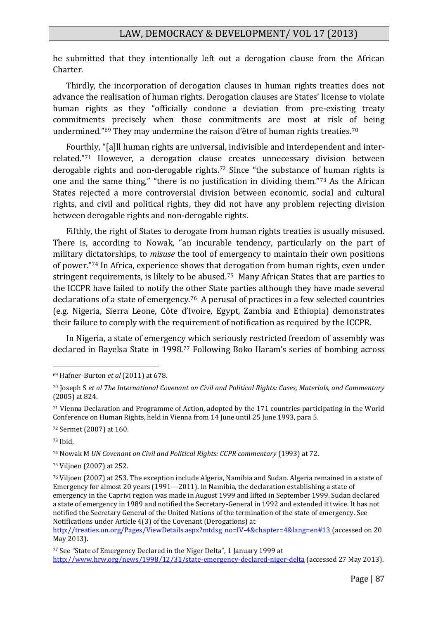be submitted that they intentionally left out a derogation clause from the African Charter.

Thirdly, the incorporation of derogation clauses in human rights treaties does not advance the realisation of human rights. Derogation clauses are States' license to violate human rights as they "officially condone a deviation from pre-existing treaty commitments precisely when those commitments are most at risk of being undermined."<sup>69</sup> They may undermine the raison d'être of human rights treaties.<sup>70</sup>

Fourthly, "[a]ll human rights are universal, indivisible and interdependent and interrelated."<sup>71</sup> However, a derogation clause creates unnecessary division between derogable rights and non-derogable rights.<sup>72</sup> Since "the substance of human rights is one and the same thing," "there is no justification in dividing them."<sup>73</sup> As the African States rejected a more controversial division between economic, social and cultural rights, and civil and political rights, they did not have any problem rejecting division between derogable rights and non-derogable rights.

Fifthly, the right of States to derogate from human rights treaties is usually misused. There is, according to Nowak, "an incurable tendency, particularly on the part of military dictatorships, to *misuse* the tool of emergency to maintain their own positions of power."<sup>74</sup> In Africa, experience shows that derogation from human rights, even under stringent requirements, is likely to be abused.75 Many African States that are parties to the ICCPR have failed to notify the other State parties although they have made several declarations of a state of emergency.76 A perusal of practices in a few selected countries (e.g. Nigeria, Sierra Leone, Côte d'Ivoire, Egypt, Zambia and Ethiopia) demonstrates their failure to comply with the requirement of notification as required by the ICCPR.

In Nigeria, a state of emergency which seriously restricted freedom of assembly was declared in Bayelsa State in 1998.<sup>77</sup> Following Boko Haram's series of bombing across

<sup>73</sup> Ibid.

<u>.</u>

<sup>74</sup> Nowak M *UN Covenant on Civil and Political Rights: CCPR commentary* (1993) at 72.

<sup>75</sup> Viljoen (2007) at 252.

<sup>69</sup> Hafner-Burton *et al* (2011) at 678.

<sup>70</sup> Joseph S *et al The International Covenant on Civil and Political Rights: Cases, Materials, and Commentary* (2005) at 824.

<sup>71</sup> Vienna Declaration and Programme of Action, adopted by the 171 countries participating in the World Conference on Human Rights, held in Vienna from 14 June until 25 June 1993, para 5.

<sup>72</sup> Sermet (2007) at 160.

<sup>76</sup> Viljoen (2007) at 253. The exception include Algeria, Namibia and Sudan. Algeria remained in a state of Emergency for almost 20 years (1991—2011). In Namibia, the declaration establishing a state of emergency in the Caprivi region was made in August 1999 and lifted in September 1999. Sudan declared a state of emergency in 1989 and notified the Secretary-General in 1992 and extended it twice. It has not notified the Secretary General of the United Nations of the termination of the state of emergency. See Notifications under Article 4(3) of the Covenant (Derogations) at

[http://treaties.un.org/Pages/ViewDetails.aspx?mtdsg\\_no=IV-4&chapter=4&lang=en#13](http://treaties.un.org/Pages/ViewDetails.aspx?mtdsg_no=IV-4&chapter=4&lang=en#13) (accessed on 20 May 2013).

<sup>77</sup> See "State of Emergency Declared in the Niger Delta", 1 January 1999 at <http://www.hrw.org/news/1998/12/31/state-emergency-declared-niger-delta> (accessed 27 May 2013).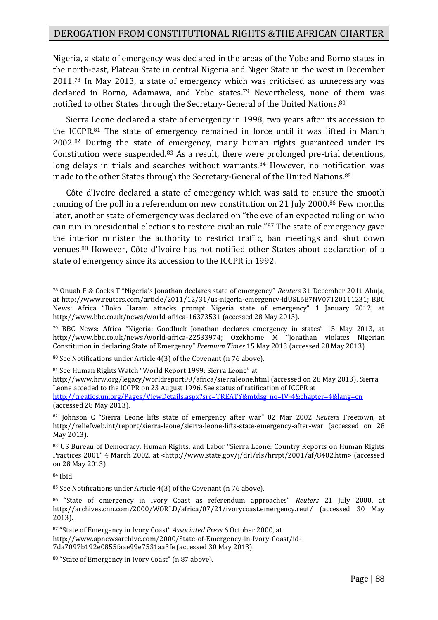Nigeria, a state of emergency was declared in the areas of the Yobe and Borno states in the north-east, Plateau State in central Nigeria and Niger State in the west in December 2011.<sup>78</sup> In May 2013, a state of emergency which was criticised as unnecessary was declared in Borno, Adamawa, and Yobe states.<sup>79</sup> Nevertheless, none of them was notified to other States through the Secretary-General of the United Nations.<sup>80</sup>

Sierra Leone declared a state of emergency in 1998, two years after its accession to the ICCPR.<sup>81</sup> The state of emergency remained in force until it was lifted in March 2002.<sup>82</sup> During the state of emergency, many human rights guaranteed under its Constitution were suspended.<sup>83</sup> As a result, there were prolonged pre-trial detentions, long delays in trials and searches without warrants.<sup>84</sup> However, no notification was made to the other States through the Secretary-General of the United Nations.<sup>85</sup>

Côte d'Ivoire declared a state of emergency which was said to ensure the smooth running of the poll in a referendum on new constitution on 21 July 2000.<sup>86</sup> Few months later, another state of emergency was declared on "the eve of an expected ruling on who can run in presidential elections to restore civilian rule."<sup>87</sup> The state of emergency gave the interior minister the authority to restrict traffic, ban meetings and shut down venues.<sup>88</sup> However, Côte d'Ivoire has not notified other States about declaration of a state of emergency since its accession to the ICCPR in 1992.

80 See Notifications under Article 4(3) of the Covenant (n 76 above).

<sup>81</sup> See Human Rights Watch "World Report 1999: Sierra Leone" at

<sup>78</sup> Onuah F & Cocks T "Nigeria's Jonathan declares state of emergency" *Reuters* 31 December 2011 Abuja, at http://www.reuters.com/article/2011/12/31/us-nigeria-emergency-idUSL6E7NV07T20111231; BBC News: Africa "Boko Haram attacks prompt Nigeria state of emergency" 1 January 2012, at http://www.bbc.co.uk/news/world-africa-16373531 (accessed 28 May 2013).

<sup>79</sup> BBC News: Africa "Nigeria: Goodluck Jonathan declares emergency in states" 15 May 2013, at http://www.bbc.co.uk/news/world-africa-22533974; Ozekhome M "Jonathan violates Nigerian Constitution in declaring State of Emergency" *Premium Times* 15 May 2013 (accessed 28 May 2013).

<http://www.hrw.org/legacy/worldreport99/africa/sierraleone.html> (accessed on 28 May 2013). Sierra Leone acceded to the ICCPR on 23 August 1996. See status of ratification of ICCPR at

[http://treaties.un.org/Pages/ViewDetails.aspx?src=TREATY&mtdsg\\_no=IV-4&chapter=4&lang=en](http://treaties.un.org/Pages/ViewDetails.aspx?src=TREATY&mtdsg_no=IV-4&chapter=4&lang=en) (accessed 28 May 2013).

<sup>82</sup> Johnson C "Sierra Leone lifts state of emergency after war" 02 Mar 2002 *Reuters* Freetown, at http://reliefweb.int/report/sierra-leone/sierra-leone-lifts-state-emergency-after-war (accessed on 28 May 2013).

<sup>83</sup> US Bureau of Democracy, Human Rights, and Labor "Sierra Leone: Country Reports on Human Rights Practices 2001" 4 March 2002, at <http://www.state.gov/j/drl/rls/hrrpt/2001/af/8402.htm> (accessed on 28 May 2013).

<sup>84</sup> Ibid.

<sup>&</sup>lt;sup>85</sup> See Notifications under Article 4(3) of the Covenant (n 76 above).

<sup>86</sup> "State of emergency in Ivory Coast as referendum approaches" *Reuters* 21 July 2000, at http://archives.cnn.com/2000/WORLD/africa/07/21/ivorycoast.emergency.reut/ (accessed 30 May 2013).

<sup>87</sup> "State of Emergency in Ivory Coast" *Associated Press* 6 October 2000, at http://www.apnewsarchive.com/2000/State-of-Emergency-in-Ivory-Coast/id-7da7097b192e0855faae99e7531aa3fe (accessed 30 May 2013).

<sup>88 &</sup>quot;State of Emergency in Ivory Coast" (n 87 above).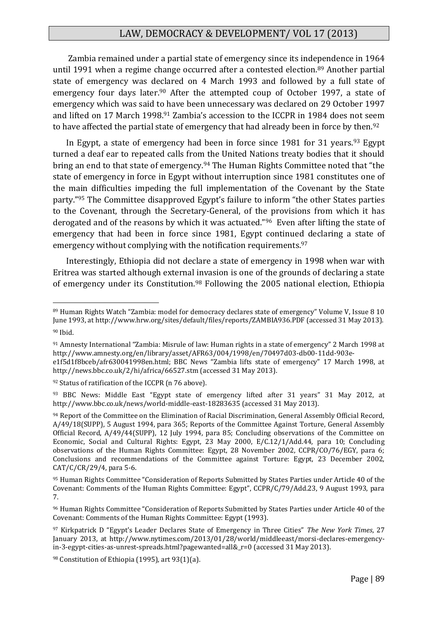Zambia remained under a partial state of emergency since its independence in 1964 until 1991 when a regime change occurred after a contested election.<sup>89</sup> Another partial state of emergency was declared on 4 March 1993 and followed by a full state of emergency four days later.<sup>90</sup> After the attempted coup of October 1997, a state of emergency which was said to have been unnecessary was declared on 29 October 1997 and lifted on 17 March 1998.<sup>91</sup> Zambia's accession to the ICCPR in 1984 does not seem to have affected the partial state of emergency that had already been in force by then.<sup>92</sup>

In Egypt, a state of emergency had been in force since 1981 for 31 years.<sup>93</sup> Egypt turned a deaf ear to repeated calls from the United Nations treaty bodies that it should bring an end to that state of emergency.<sup>94</sup> The Human Rights Committee noted that "the state of emergency in force in Egypt without interruption since 1981 constitutes one of the main difficulties impeding the full implementation of the Covenant by the State party."<sup>95</sup> The Committee disapproved Egypt's failure to inform "the other States parties to the Covenant, through the Secretary-General, of the provisions from which it has derogated and of the reasons by which it was actuated."96 Even after lifting the state of emergency that had been in force since 1981, Egypt continued declaring a state of emergency without complying with the notification requirements.<sup>97</sup>

Interestingly, Ethiopia did not declare a state of emergency in 1998 when war with Eritrea was started although external invasion is one of the grounds of declaring a state of emergency under its Constitution.<sup>98</sup> Following the 2005 national election, Ethiopia

<sup>89</sup> Human Rights Watch "Zambia: model for democracy declares state of emergency" Volume V, Issue 8 10 June 1993, at http://www.hrw.org/sites/default/files/reports/ZAMBIA936.PDF (accessed 31 May 2013). <sup>90</sup> Ibid.

<sup>91</sup> Amnesty International "Zambia: Misrule of law: Human rights in a state of emergency" 2 March 1998 at http://www.amnesty.org/en/library/asset/AFR63/004/1998/en/70497d03-db00-11dd-903ee1f5d1f8bceb/afr630041998en.html; BBC News "Zambia lifts state of emergency" 17 March 1998, at http://news.bbc.co.uk/2/hi/africa/66527.stm (accessed 31 May 2013).

<sup>92</sup> Status of ratification of the ICCPR (n 76 above).

<sup>93</sup> BBC News: Middle East "Egypt state of emergency lifted after 31 years" 31 May 2012, at http://www.bbc.co.uk/news/world-middle-east-18283635 (accessed 31 May 2013).

<sup>94</sup> Report of the Committee on the Elimination of Racial Discrimination, General Assembly Official Record, A/49/18(SUPP), 5 August 1994, para 365; Reports of the Committee Against Torture, General Assembly Official Record, A/49/44(SUPP), 12 July 1994, para 85; Concluding observations of the Committee on Economic, Social and Cultural Rights: Egypt, 23 May 2000, E/C.12/1/Add.44, para 10; Concluding observations of the Human Rights Committee: Egypt, 28 November 2002, CCPR/CO/76/EGY, para 6; Conclusions and recommendations of the Committee against Torture: Egypt, 23 December 2002, CAT/C/CR/29/4, para 5-6.

<sup>95</sup> Human Rights Committee "Consideration of Reports Submitted by States Parties under Article 40 of the Covenant: Comments of the Human Rights Committee: Egypt", CCPR/C/79/Add.23, 9 August 1993, para 7.

<sup>96</sup> Human Rights Committee "Consideration of Reports Submitted by States Parties under Article 40 of the Covenant: Comments of the Human Rights Committee: Egypt (1993).

<sup>97</sup> Kirkpatrick D "Egypt's Leader Declares State of Emergency in Three Cities" *The New York Times*, 27 January 2013, at http://www.nytimes.com/2013/01/28/world/middleeast/morsi-declares-emergencyin-3-egypt-cities-as-unrest-spreads.html?pagewanted=all&\_r=0 (accessed 31 May 2013).

<sup>98</sup> Constitution of Ethiopia (1995), art 93(1)(a).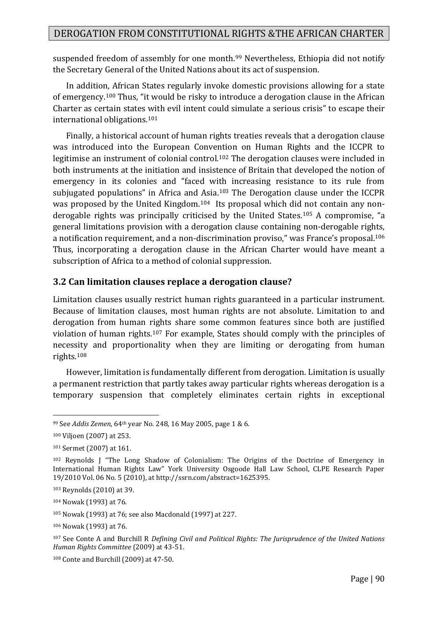suspended freedom of assembly for one month.<sup>99</sup> Nevertheless, Ethiopia did not notify the Secretary General of the United Nations about its act of suspension.

In addition, African States regularly invoke domestic provisions allowing for a state of emergency.<sup>100</sup> Thus, "it would be risky to introduce a derogation clause in the African Charter as certain states with evil intent could simulate a serious crisis" to escape their international obligations.<sup>101</sup>

Finally, a historical account of human rights treaties reveals that a derogation clause was introduced into the European Convention on Human Rights and the ICCPR to legitimise an instrument of colonial control.<sup>102</sup> The derogation clauses were included in both instruments at the initiation and insistence of Britain that developed the notion of emergency in its colonies and "faced with increasing resistance to its rule from subjugated populations" in Africa and Asia.<sup>103</sup> The Derogation clause under the ICCPR was proposed by the United Kingdom.<sup>104</sup> Its proposal which did not contain any nonderogable rights was principally criticised by the United States.<sup>105</sup> A compromise, "a general limitations provision with a derogation clause containing non-derogable rights, a notification requirement, and a non-discrimination proviso," was France's proposal.<sup>106</sup> Thus, incorporating a derogation clause in the African Charter would have meant a subscription of Africa to a method of colonial suppression.

## **3.2 Can limitation clauses replace a derogation clause?**

Limitation clauses usually restrict human rights guaranteed in a particular instrument. Because of limitation clauses, most human rights are not absolute. Limitation to and derogation from human rights share some common features since both are justified violation of human rights.<sup>107</sup> For example, States should comply with the principles of necessity and proportionality when they are limiting or derogating from human rights.<sup>108</sup>

However, limitation is fundamentally different from derogation. Limitation is usually a permanent restriction that partly takes away particular rights whereas derogation is a temporary suspension that completely eliminates certain rights in exceptional

<sup>1</sup> <sup>99</sup> See *Addis Zemen*, 64th year No. 248, 16 May 2005, page 1 & 6.

<sup>100</sup> Viljoen (2007) at 253.

<sup>101</sup> Sermet (2007) at 161.

<sup>102</sup> Reynolds J "The Long Shadow of Colonialism: The Origins of the Doctrine of Emergency in International Human Rights Law" York University Osgoode Hall Law School, CLPE Research Paper 19/2010 Vol. 06 No. 5 (2010), at http://ssrn.com/abstract=1625395.

<sup>103</sup> Reynolds (2010) at 39.

<sup>104</sup> Nowak (1993) at 76.

<sup>105</sup> Nowak (1993) at 76; see also Macdonald (1997) at 227.

<sup>106</sup> Nowak (1993) at 76.

<sup>107</sup> See Conte A and Burchill R *Defining Civil and Political Rights: The Jurisprudence of the United Nations Human Rights Committee* (2009) at 43-51.

<sup>108</sup> Conte and Burchill (2009) at 47-50.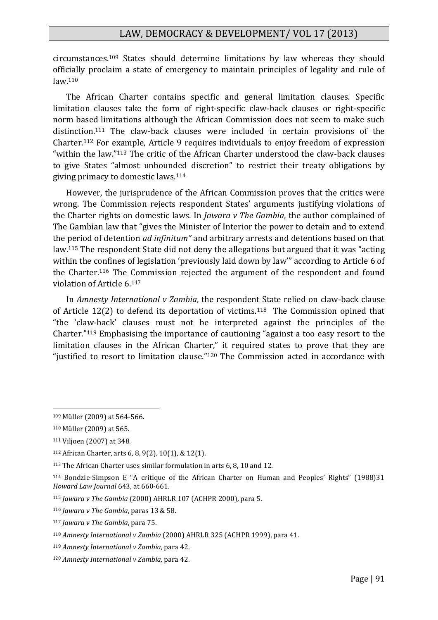circumstances.<sup>109</sup> States should determine limitations by law whereas they should officially proclaim a state of emergency to maintain principles of legality and rule of  $law<sub>110</sub>$ 

The African Charter contains specific and general limitation clauses. Specific limitation clauses take the form of right-specific claw-back clauses or right-specific norm based limitations although the African Commission does not seem to make such distinction.<sup>111</sup> The claw-back clauses were included in certain provisions of the Charter.<sup>112</sup> For example, Article 9 requires individuals to enjoy freedom of expression "within the law."<sup>113</sup> The critic of the African Charter understood the claw-back clauses to give States "almost unbounded discretion" to restrict their treaty obligations by giving primacy to domestic laws.<sup>114</sup>

However, the jurisprudence of the African Commission proves that the critics were wrong. The Commission rejects respondent States' arguments justifying violations of the Charter rights on domestic laws. In *Jawara v The Gambia*, the author complained of The Gambian law that "gives the Minister of Interior the power to detain and to extend the period of detention *ad infinitum"* and arbitrary arrests and detentions based on that law.<sup>115</sup> The respondent State did not deny the allegations but argued that it was "acting within the confines of legislation 'previously laid down by law'" according to Article 6 of the Charter.<sup>116</sup> The Commission rejected the argument of the respondent and found violation of Article 6.<sup>117</sup>

In *Amnesty International v Zambia*, the respondent State relied on claw-back clause of Article 12(2) to defend its deportation of victims.<sup>118</sup> The Commission opined that "the 'claw-back' clauses must not be interpreted against the principles of the Charter."<sup>119</sup> Emphasising the importance of cautioning "against a too easy resort to the limitation clauses in the African Charter," it required states to prove that they are "justified to resort to limitation clause."<sup>120</sup> The Commission acted in accordance with

<sup>109</sup> Müller (2009) at 564-566.

<sup>110</sup> Müller (2009) at 565.

<sup>111</sup> Viljoen (2007) at 348.

<sup>112</sup> African Charter, arts 6, 8, 9(2), 10(1), & 12(1).

<sup>113</sup> The African Charter uses similar formulation in arts 6, 8, 10 and 12.

<sup>114</sup> Bondzie-Simpson E "A critique of the African Charter on Human and Peoples' Rights" (1988)31 *Howard Law Journal* 643, at 660-661.

<sup>115</sup> *Jawara v The Gambia* (2000) AHRLR 107 (ACHPR 2000), para 5.

<sup>116</sup> *Jawara v The Gambia*, paras 13 & 58.

<sup>117</sup> *Jawara v The Gambia*, para 75.

<sup>118</sup> *Amnesty International v Zambia* (2000) AHRLR 325 (ACHPR 1999), para 41.

<sup>119</sup> *Amnesty International v Zambia*, para 42.

<sup>120</sup> *Amnesty International v Zambia,* para 42.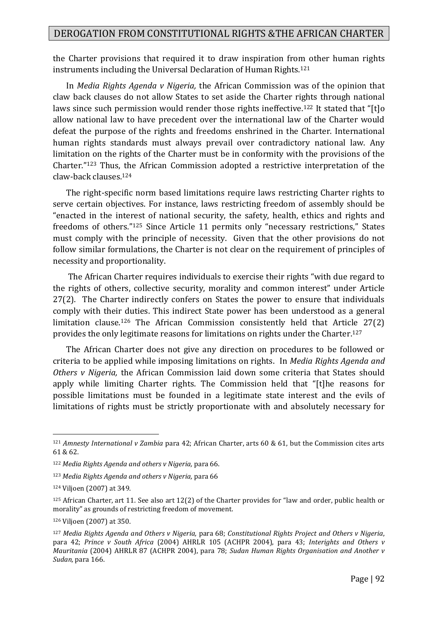the Charter provisions that required it to draw inspiration from other human rights instruments including the Universal Declaration of Human Rights.<sup>121</sup>

In *Media Rights Agenda v Nigeria,* the African Commission was of the opinion that claw back clauses do not allow States to set aside the Charter rights through national laws since such permission would render those rights ineffective.<sup>122</sup> It stated that "[t]o allow national law to have precedent over the international law of the Charter would defeat the purpose of the rights and freedoms enshrined in the Charter. International human rights standards must always prevail over contradictory national law. Any limitation on the rights of the Charter must be in conformity with the provisions of the Charter."<sup>123</sup> Thus, the African Commission adopted a restrictive interpretation of the claw-back clauses.<sup>124</sup>

The right-specific norm based limitations require laws restricting Charter rights to serve certain objectives. For instance, laws restricting freedom of assembly should be "enacted in the interest of national security, the safety, health, ethics and rights and freedoms of others."<sup>125</sup> Since Article 11 permits only "necessary restrictions," States must comply with the principle of necessity. Given that the other provisions do not follow similar formulations, the Charter is not clear on the requirement of principles of necessity and proportionality.

The African Charter requires individuals to exercise their rights "with due regard to the rights of others, collective security, morality and common interest" under Article 27(2). The Charter indirectly confers on States the power to ensure that individuals comply with their duties. This indirect State power has been understood as a general limitation clause.<sup>126</sup> The African Commission consistently held that Article 27(2) provides the only legitimate reasons for limitations on rights under the Charter.<sup>127</sup>

The African Charter does not give any direction on procedures to be followed or criteria to be applied while imposing limitations on rights. In *Media Rights Agenda and Others v Nigeria,* the African Commission laid down some criteria that States should apply while limiting Charter rights. The Commission held that "[t]he reasons for possible limitations must be founded in a legitimate state interest and the evils of limitations of rights must be strictly proportionate with and absolutely necessary for

<sup>121</sup> *Amnesty International v Zambia* para 42; African Charter, arts 60 & 61, but the Commission cites arts 61 & 62.

<sup>122</sup> *Media Rights Agenda and others v Nigeria,* para 66.

<sup>123</sup> *Media Rights Agenda and others v Nigeria,* para 66

<sup>124</sup> Viljoen (2007) at 349.

 $125$  African Charter, art 11. See also art 12(2) of the Charter provides for "law and order, public health or morality" as grounds of restricting freedom of movement.

<sup>126</sup> Viljoen (2007) at 350.

<sup>127</sup> *Media Rights Agenda and Others v Nigeria,* para 68; *Constitutional Rights Project and Others v Nigeria*, para 42; *Prince v South Africa* (2004) AHRLR 105 (ACHPR 2004), para 43; *Interights and Others v Mauritania* (2004) AHRLR 87 (ACHPR 2004), para 78; *Sudan Human Rights Organisation and Another v Sudan,* para 166.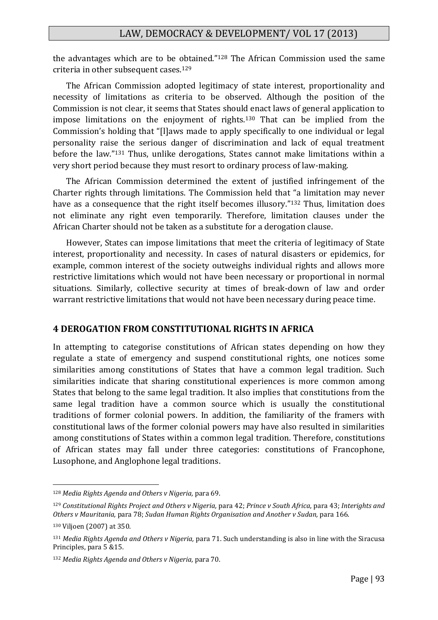the advantages which are to be obtained."<sup>128</sup> The African Commission used the same criteria in other subsequent cases.<sup>129</sup>

The African Commission adopted legitimacy of state interest, proportionality and necessity of limitations as criteria to be observed. Although the position of the Commission is not clear, it seems that States should enact laws of general application to impose limitations on the enjoyment of rights.<sup>130</sup> That can be implied from the Commission's holding that "[l]aws made to apply specifically to one individual or legal personality raise the serious danger of discrimination and lack of equal treatment before the law."<sup>131</sup> Thus, unlike derogations, States cannot make limitations within a very short period because they must resort to ordinary process of law-making.

The African Commission determined the extent of justified infringement of the Charter rights through limitations. The Commission held that "a limitation may never have as a consequence that the right itself becomes illusory."<sup>132</sup> Thus, limitation does not eliminate any right even temporarily. Therefore, limitation clauses under the African Charter should not be taken as a substitute for a derogation clause.

However, States can impose limitations that meet the criteria of legitimacy of State interest, proportionality and necessity. In cases of natural disasters or epidemics, for example, common interest of the society outweighs individual rights and allows more restrictive limitations which would not have been necessary or proportional in normal situations. Similarly, collective security at times of break-down of law and order warrant restrictive limitations that would not have been necessary during peace time.

#### **4 DEROGATION FROM CONSTITUTIONAL RIGHTS IN AFRICA**

In attempting to categorise constitutions of African states depending on how they regulate a state of emergency and suspend constitutional rights, one notices some similarities among constitutions of States that have a common legal tradition. Such similarities indicate that sharing constitutional experiences is more common among States that belong to the same legal tradition. It also implies that constitutions from the same legal tradition have a common source which is usually the constitutional traditions of former colonial powers. In addition, the familiarity of the framers with constitutional laws of the former colonial powers may have also resulted in similarities among constitutions of States within a common legal tradition. Therefore, constitutions of African states may fall under three categories: constitutions of Francophone, Lusophone, and Anglophone legal traditions.

<sup>128</sup> *Media Rights Agenda and Others v Nigeria,* para 69.

<sup>129</sup> *Constitutional Rights Project and Others v Nigeria,* para 42; *Prince v South Africa*, para 43; *Interights and Others v Mauritania,* para 78; *Sudan Human Rights Organisation and Another v Sudan,* para 166.

<sup>130</sup> Viljoen (2007) at 350.

<sup>131</sup> *Media Rights Agenda and Others v Nigeria,* para 71. Such understanding is also in line with the Siracusa Principles, para 5 &15.

<sup>132</sup> *Media Rights Agenda and Others v Nigeria,* para 70.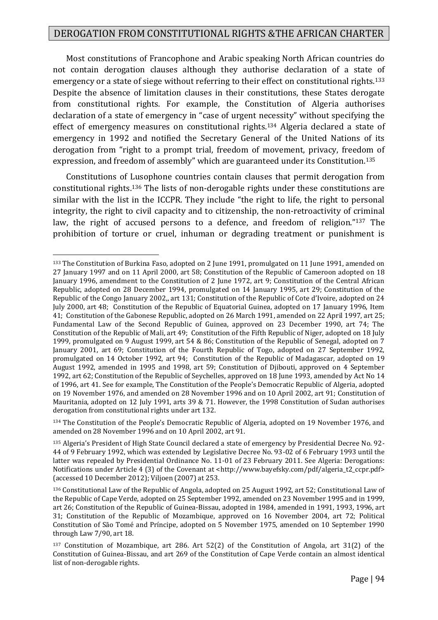Most constitutions of Francophone and Arabic speaking North African countries do not contain derogation clauses although they authorise declaration of a state of emergency or a state of siege without referring to their effect on constitutional rights.<sup>133</sup> Despite the absence of limitation clauses in their constitutions, these States derogate from constitutional rights. For example, the Constitution of Algeria authorises declaration of a state of emergency in "case of urgent necessity" without specifying the effect of emergency measures on constitutional rights.<sup>134</sup> Algeria declared a state of emergency in 1992 and notified the Secretary General of the United Nations of its derogation from "right to a prompt trial, freedom of movement, privacy, freedom of expression, and freedom of assembly" which are guaranteed under its Constitution.<sup>135</sup>

Constitutions of Lusophone countries contain clauses that permit derogation from constitutional rights.<sup>136</sup> The lists of non-derogable rights under these constitutions are similar with the list in the ICCPR. They include "the right to life, the right to personal integrity, the right to civil capacity and to citizenship, the non-retroactivity of criminal law, the right of accused persons to a defence, and freedom of religion."<sup>137</sup> The prohibition of torture or cruel, inhuman or degrading treatment or punishment is

<sup>&</sup>lt;u>.</u> <sup>133</sup> The Constitution of Burkina Faso, adopted on 2 June 1991, promulgated on 11 June 1991, amended on 27 January 1997 and on 11 April 2000, art 58; Constitution of the Republic of Cameroon adopted on 18 January 1996, amendment to the Constitution of 2 June 1972, art 9; Constitution of the Central African Republic, adopted on 28 December 1994, promulgated on 14 January 1995, art 29; Constitution of the Republic of the Congo January 2002,, art 131; Constitution of the Republic of Cote d'Ivoire, adopted on 24 July 2000, art 48; Constitution of the Republic of Equatorial Guinea, adopted on 17 January 1996, Item 41; Constitution of the Gabonese Republic, adopted on 26 March 1991, amended on 22 April 1997, art 25; Fundamental Law of the Second Republic of Guinea, approved on 23 December 1990, art 74; The Constitution of the Republic of Mali, art 49; Constitution of the Fifth Republic of Niger, adopted on 18 July 1999, promulgated on 9 August 1999, art 54 & 86; Constitution of the Republic of Senegal, adopted on 7 January 2001, art 69; Constitution of the Fourth Republic of Togo, adopted on 27 September 1992, promulgated on 14 October 1992, art 94; Constitution of the Republic of Madagascar, adopted on 19 August 1992, amended in 1995 and 1998, art 59; Constitution of Djibouti, approved on 4 September 1992, art 62; Constitution of the Republic of Seychelles, approved on 18 June 1993, amended by Act No 14 of 1996, art 41. See for example, The Constitution of the People's Democratic Republic of Algeria, adopted on 19 November 1976, and amended on 28 November 1996 and on 10 April 2002, art 91; Constitution of Mauritania, adopted on 12 July 1991, arts 39 & 71. However, the 1998 Constitution of Sudan authorises derogation from constitutional rights under art 132.

<sup>134</sup> The Constitution of the People's Democratic Republic of Algeria, adopted on 19 November 1976, and amended on 28 November 1996 and on 10 April 2002, art 91.

<sup>135</sup> Algeria's President of High State Council declared a state of emergency by Presidential Decree No. 92- 44 of 9 February 1992, which was extended by Legislative Decree No. 93-02 of 6 February 1993 until the latter was repealed by Presidential Ordinance No. 11-01 of 23 February 2011. See Algeria: Derogations: Notifications under Article 4 (3) of the Covenant at [<http://www.bayefsky.com/pdf/algeria\\_t2\\_ccpr.pdf>](http://www.bayefsky.com/pdf/algeria_t2_ccpr.pdf) (accessed 10 December 2012); Viljoen (2007) at 253.

<sup>136</sup> Constitutional Law of the Republic of Angola, adopted on 25 August 1992, art 52; Constitutional Law of the Republic of Cape Verde, adopted on 25 September 1992, amended on 23 November 1995 and in 1999, art 26; Constitution of the Republic of Guinea-Bissau, adopted in 1984, amended in 1991, 1993, 1996, art 31; Constitution of the Republic of Mozambique, approved on 16 November 2004, art 72; Political Constitution of São Tomé and Príncipe, adopted on 5 November 1975, amended on 10 September 1990 through Law 7/90, art 18.

<sup>137</sup> Constitution of Mozambique, art 286. Art 52(2) of the Constitution of Angola, art 31(2) of the Constitution of Guinea-Bissau, and art 269 of the Constitution of Cape Verde contain an almost identical list of non-derogable rights.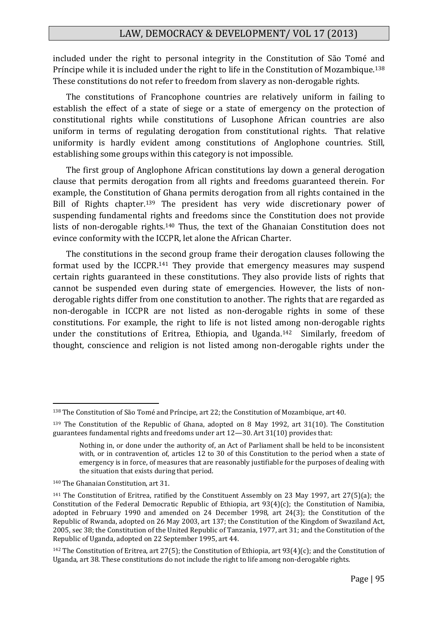included under the right to personal integrity in the Constitution of São Tomé and Príncipe while it is included under the right to life in the Constitution of Mozambique.<sup>138</sup> These constitutions do not refer to freedom from slavery as non-derogable rights.

The constitutions of Francophone countries are relatively uniform in failing to establish the effect of a state of siege or a state of emergency on the protection of constitutional rights while constitutions of Lusophone African countries are also uniform in terms of regulating derogation from constitutional rights. That relative uniformity is hardly evident among constitutions of Anglophone countries. Still, establishing some groups within this category is not impossible.

The first group of Anglophone African constitutions lay down a general derogation clause that permits derogation from all rights and freedoms guaranteed therein. For example, the Constitution of Ghana permits derogation from all rights contained in the Bill of Rights chapter.<sup>139</sup> The president has very wide discretionary power of suspending fundamental rights and freedoms since the Constitution does not provide lists of non-derogable rights.<sup>140</sup> Thus, the text of the Ghanaian Constitution does not evince conformity with the ICCPR, let alone the African Charter.

The constitutions in the second group frame their derogation clauses following the format used by the ICCPR.<sup>141</sup> They provide that emergency measures may suspend certain rights guaranteed in these constitutions. They also provide lists of rights that cannot be suspended even during state of emergencies. However, the lists of nonderogable rights differ from one constitution to another. The rights that are regarded as non-derogable in ICCPR are not listed as non-derogable rights in some of these constitutions. For example, the right to life is not listed among non-derogable rights under the constitutions of Eritrea, Ethiopia, and Uganda.142 Similarly, freedom of thought, conscience and religion is not listed among non-derogable rights under the

<sup>138</sup> The Constitution of São Tomé and Príncipe, art 22; the Constitution of Mozambique, art 40.

<sup>139</sup> The Constitution of the Republic of Ghana, adopted on 8 May 1992, art 31(10). The Constitution guarantees fundamental rights and freedoms under art 12—30. Art 31(10) provides that:

Nothing in, or done under the authority of, an Act of Parliament shall be held to be inconsistent with, or in contravention of, articles 12 to 30 of this Constitution to the period when a state of emergency is in force, of measures that are reasonably justifiable for the purposes of dealing with the situation that exists during that period.

<sup>140</sup> The Ghanaian Constitution, art 31.

<sup>141</sup> The Constitution of Eritrea, ratified by the Constituent Assembly on 23 May 1997, art 27(5)(a); the Constitution of the Federal Democratic Republic of Ethiopia, art 93(4)(c); the Constitution of Namibia, adopted in February 1990 and amended on 24 December 1998, art 24(3); the Constitution of the Republic of Rwanda, adopted on 26 May 2003, art 137; the Constitution of the Kingdom of Swaziland Act, 2005, sec 38; the Constitution of the United Republic of Tanzania, 1977, art 31; and the Constitution of the Republic of Uganda, adopted on 22 September 1995, art 44.

<sup>&</sup>lt;sup>142</sup> The Constitution of Eritrea, art 27(5); the Constitution of Ethiopia, art 93(4)(c); and the Constitution of Uganda, art 38. These constitutions do not include the right to life among non-derogable rights.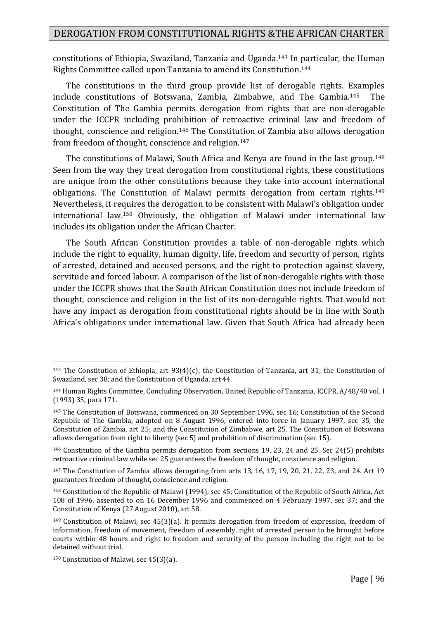constitutions of Ethiopia, Swaziland, Tanzania and Uganda.<sup>143</sup> In particular, the Human Rights Committee called upon Tanzania to amend its Constitution.<sup>144</sup>

The constitutions in the third group provide list of derogable rights. Examples include constitutions of Botswana, Zambia, Zimbabwe, and The Gambia.145 The Constitution of The Gambia permits derogation from rights that are non-derogable under the ICCPR including prohibition of retroactive criminal law and freedom of thought, conscience and religion.<sup>146</sup> The Constitution of Zambia also allows derogation from freedom of thought, conscience and religion.<sup>147</sup>

The constitutions of Malawi, South Africa and Kenya are found in the last group.<sup>148</sup> Seen from the way they treat derogation from constitutional rights, these constitutions are unique from the other constitutions because they take into account international obligations. The Constitution of Malawi permits derogation from certain rights.<sup>149</sup> Nevertheless, it requires the derogation to be consistent with Malawi's obligation under international law.<sup>150</sup> Obviously, the obligation of Malawi under international law includes its obligation under the African Charter.

The South African Constitution provides a table of non-derogable rights which include the right to equality, human dignity, life, freedom and security of person, rights of arrested, detained and accused persons, and the right to protection against slavery, servitude and forced labour. A comparison of the list of non-derogable rights with those under the ICCPR shows that the South African Constitution does not include freedom of thought, conscience and religion in the list of its non-derogable rights. That would not have any impact as derogation from constitutional rights should be in line with South Africa's obligations under international law. Given that South Africa had already been

<sup>143</sup> The Constitution of Ethiopia, art 93(4)(c); the Constitution of Tanzania, art 31; the Constitution of Swaziland, sec 38; and the Constitution of Uganda, art 44.

<sup>144</sup> Human Rights Committee, Concluding Observation, United Republic of Tanzania, ICCPR, A/48/40 vol. I (1993) 35, para 171.

<sup>145</sup> The Constitution of Botswana, commenced on 30 September 1996, sec 16; Constitution of the Second Republic of The Gambia, adopted on 8 August 1996, entered into force in January 1997, sec 35; the Constitution of Zambia, art 25; and the Constitution of Zimbabwe, art 25. The Constitution of Botswana allows derogation from right to liberty (sec 5) and prohibition of discrimination (sec 15).

<sup>146</sup> Constitution of the Gambia permits derogation from sections 19, 23, 24 and 25. Sec 24(5) prohibits retroactive criminal law while sec 25 guarantees the freedom of thought, conscience and religion.

<sup>147</sup> The Constitution of Zambia allows derogating from arts 13, 16, 17, 19, 20, 21, 22, 23, and 24. Art 19 guarantees freedom of thought, conscience and religion.

<sup>148</sup> Constitution of the Republic of Malawi (1994), sec 45; Constitution of the Republic of South Africa, Act 108 of 1996, assented to on 16 December 1996 and commenced on 4 February 1997, sec 37; and the Constitution of Kenya (27 August 2010), art 58.

<sup>149</sup> Constitution of Malawi, sec 45(3)(a). It permits derogation from freedom of expression, freedom of information, freedom of movement, freedom of assembly, right of arrested person to be brought before courts within 48 hours and right to freedom and security of the person including the right not to be detained without trial.

<sup>150</sup> Constitution of Malawi, sec 45(3)(a).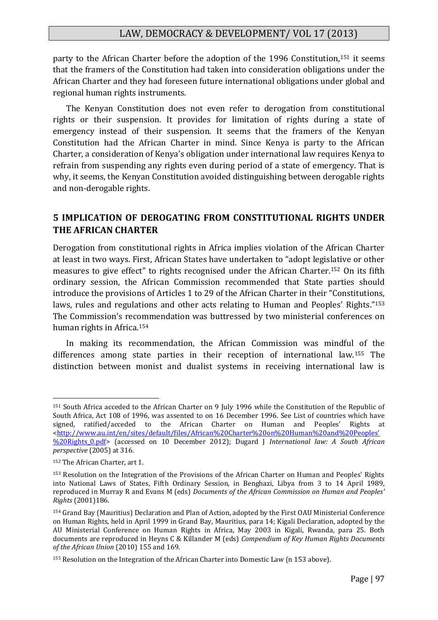party to the African Charter before the adoption of the 1996 Constitution,<sup>151</sup> it seems that the framers of the Constitution had taken into consideration obligations under the African Charter and they had foreseen future international obligations under global and regional human rights instruments.

The Kenyan Constitution does not even refer to derogation from constitutional rights or their suspension. It provides for limitation of rights during a state of emergency instead of their suspension. It seems that the framers of the Kenyan Constitution had the African Charter in mind. Since Kenya is party to the African Charter, a consideration of Kenya's obligation under international law requires Kenya to refrain from suspending any rights even during period of a state of emergency. That is why, it seems, the Kenyan Constitution avoided distinguishing between derogable rights and non-derogable rights.

#### **5 IMPLICATION OF DEROGATING FROM CONSTITUTIONAL RIGHTS UNDER THE AFRICAN CHARTER**

Derogation from constitutional rights in Africa implies violation of the African Charter at least in two ways. First, African States have undertaken to "adopt legislative or other measures to give effect" to rights recognised under the African Charter.<sup>152</sup> On its fifth ordinary session, the African Commission recommended that State parties should introduce the provisions of Articles 1 to 29 of the African Charter in their "Constitutions, laws, rules and regulations and other acts relating to Human and Peoples' Rights."<sup>153</sup> The Commission's recommendation was buttressed by two ministerial conferences on human rights in Africa.<sup>154</sup>

In making its recommendation, the African Commission was mindful of the differences among state parties in their reception of international law.<sup>155</sup> The distinction between monist and dualist systems in receiving international law is

<sup>151</sup> South Africa acceded to the African Charter on 9 July 1996 while the Constitution of the Republic of South Africa, Act 108 of 1996, was assented to on 16 December 1996. See List of countries which have signed, ratified/acceded to the African Charter on Human and Peoples' Rights at [<http://www.au.int/en/sites/default/files/African%20Charter%20on%20Human%20and%20Peoples'](http://www.au.int/en/sites/default/files/African%20Charter%20on%20Human%20and%20Peoples) [%20Rights\\_0.pdf>](http://www.au.int/en/sites/default/files/African%20Charter%20on%20Human%20and%20Peoples) (accessed on 10 December 2012); Dugard J *International law: A South African perspective* (2005) at 316.

<sup>152</sup> The African Charter, art 1.

<sup>153</sup> Resolution on the Integration of the Provisions of the African Charter on Human and Peoples' Rights into National Laws of States, Fifth Ordinary Session, in Benghazi, Libya from 3 to 14 April 1989, reproduced in Murray R and Evans M (eds) *Documents of the African Commission on Human and Peoples' Rights* (2001)186.

<sup>154</sup> Grand Bay (Mauritius) Declaration and Plan of Action, adopted by the First OAU Ministerial Conference on Human Rights, held in April 1999 in Grand Bay, Mauritius, para 14; Kigali Declaration, adopted by the AU Ministerial Conference on Human Rights in Africa, May 2003 in Kigali, Rwanda, para 25. Both documents are reproduced in Heyns C & Killander M (eds) *Compendium of Key Human Rights Documents of the African Union* (2010) 155 and 169.

<sup>155</sup> Resolution on the Integration of the African Charter into Domestic Law (n 153 above).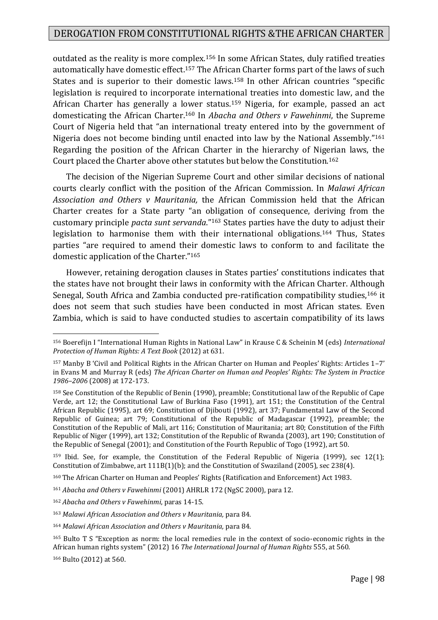outdated as the reality is more complex.<sup>156</sup> In some African States, duly ratified treaties automatically have domestic effect.<sup>157</sup> The African Charter forms part of the laws of such States and is superior to their domestic laws.<sup>158</sup> In other African countries "specific legislation is required to incorporate international treaties into domestic law, and the African Charter has generally a lower status.<sup>159</sup> Nigeria, for example, passed an act domesticating the African Charter.<sup>160</sup> In *Abacha and Others v Fawehinmi*, the Supreme Court of Nigeria held that "an international treaty entered into by the government of Nigeria does not become binding until enacted into law by the National Assembly."<sup>161</sup> Regarding the position of the African Charter in the hierarchy of Nigerian laws, the Court placed the Charter above other statutes but below the Constitution.<sup>162</sup>

The decision of the Nigerian Supreme Court and other similar decisions of national courts clearly conflict with the position of the African Commission. In *Malawi African Association and Others v Mauritania,* the African Commission held that the African Charter creates for a State party "an obligation of consequence, deriving from the customary principle *pacta sunt servanda*."<sup>163</sup> States parties have the duty to adjust their legislation to harmonise them with their international obligations.<sup>164</sup> Thus, States parties "are required to amend their domestic laws to conform to and facilitate the domestic application of the Charter."<sup>165</sup>

However, retaining derogation clauses in States parties' constitutions indicates that the states have not brought their laws in conformity with the African Charter. Although Senegal, South Africa and Zambia conducted pre-ratification compatibility studies,<sup>166</sup> it does not seem that such studies have been conducted in most African states. Even Zambia, which is said to have conducted studies to ascertain compatibility of its laws

<sup>166</sup> Bulto (2012) at 560.

<sup>156</sup> Boerefijn I "International Human Rights in National Law" in Krause C & Scheinin M (eds) *International Protection of Human Rights: A Text Book* (2012) at 631.

<sup>157</sup> Manby B 'Civil and Political Rights in the African Charter on Human and Peoples' Rights: Articles 1–7' in Evans M and Murray R (eds) *The African Charter on Human and Peoples' Rights: The System in Practice 1986–2006* (2008) at 172-173.

<sup>158</sup> See Constitution of the Republic of Benin (1990), preamble; Constitutional law of the Republic of Cape Verde, art 12; the Constitutional Law of Burkina Faso (1991), art 151; the Constitution of the Central African Republic (1995), art 69; Constitution of Djibouti (1992), art 37; Fundamental Law of the Second Republic of Guinea; art 79; Constitutional of the Republic of Madagascar (1992), preamble; the Constitution of the Republic of Mali, art 116; Constitution of Mauritania; art 80; Constitution of the Fifth Republic of Niger (1999), art 132; Constitution of the Republic of Rwanda (2003), art 190; Constitution of the Republic of Senegal (2001); and Constitution of the Fourth Republic of Togo (1992), art 50.

<sup>159</sup> Ibid. See, for example, the Constitution of the Federal Republic of Nigeria (1999), sec 12(1); Constitution of Zimbabwe, art 111B(1)(b); and the Constitution of Swaziland (2005), sec 238(4).

<sup>160</sup> The African Charter on Human and Peoples' Rights (Ratification and Enforcement) Act 1983.

<sup>161</sup> *Abacha and Others v Fawehinmi* (2001) AHRLR 172 (NgSC 2000), para 12.

<sup>162</sup> *Abacha and Others v Fawehinmi*, paras 14-15.

<sup>163</sup> *Malawi African Association and Others v Mauritania,* para 84.

<sup>164</sup> *Malawi African Association and Others v Mauritania,* para 84.

<sup>165</sup> Bulto T S "Exception as norm: the local remedies rule in the context of socio-economic rights in the African human rights system" (2012) 16 *The International Journal of Human Rights* 555, at 560.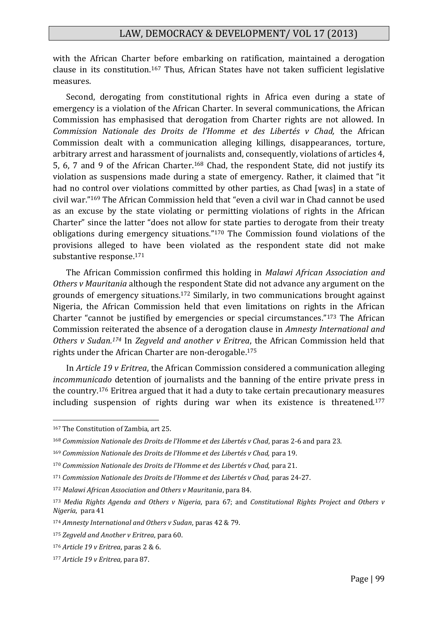with the African Charter before embarking on ratification, maintained a derogation clause in its constitution.<sup>167</sup> Thus, African States have not taken sufficient legislative measures.

Second, derogating from constitutional rights in Africa even during a state of emergency is a violation of the African Charter. In several communications, the African Commission has emphasised that derogation from Charter rights are not allowed. In *Commission Nationale des Droits de l'Homme et des Libertés v Chad,* the African Commission dealt with a communication alleging killings, disappearances, torture, arbitrary arrest and harassment of journalists and, consequently, violations of articles 4, 5, 6, 7 and 9 of the African Charter.<sup>168</sup> Chad, the respondent State, did not justify its violation as suspensions made during a state of emergency. Rather, it claimed that "it had no control over violations committed by other parties, as Chad [was] in a state of civil war."<sup>169</sup> The African Commission held that "even a civil war in Chad cannot be used as an excuse by the state violating or permitting violations of rights in the African Charter" since the latter "does not allow for state parties to derogate from their treaty obligations during emergency situations."<sup>170</sup> The Commission found violations of the provisions alleged to have been violated as the respondent state did not make substantive response.<sup>171</sup>

The African Commission confirmed this holding in *Malawi African Association and Others v Mauritania* although the respondent State did not advance any argument on the grounds of emergency situations. <sup>172</sup> Similarly, in two communications brought against Nigeria, the African Commission held that even limitations on rights in the African Charter "cannot be justified by emergencies or special circumstances."<sup>173</sup> The African Commission reiterated the absence of a derogation clause in *Amnesty International and Others v Sudan.<sup>174</sup>* In *Zegveld and another v Eritrea*, the African Commission held that rights under the African Charter are non-derogable.<sup>175</sup>

In *Article 19 v Eritrea*, the African Commission considered a communication alleging *incommunicado* detention of journalists and the banning of the entire private press in the country.<sup>176</sup> Eritrea argued that it had a duty to take certain precautionary measures including suspension of rights during war when its existence is threatened.<sup>177</sup>

<sup>167</sup> The Constitution of Zambia, art 25.

<sup>168</sup> *Commission Nationale des Droits de l'Homme et des Libertés v Chad*, paras 2-6 and para 23.

<sup>169</sup> *Commission Nationale des Droits de l'Homme et des Libertés v Chad,* para 19.

<sup>170</sup> *Commission Nationale des Droits de l'Homme et des Libertés v Chad,* para 21.

<sup>171</sup> *Commission Nationale des Droits de l'Homme et des Libertés v Chad,* paras 24-27.

<sup>172</sup> *Malawi African Association and Others v Mauritania*, para 84.

<sup>173</sup> *Media Rights Agenda and Others v Nigeria*, para 67; and *Constitutional Rights Project and Others v Nigeria*, para 41

<sup>174</sup> *Amnesty International and Others v Sudan*, paras 42 & 79.

<sup>175</sup> *Zegveld and Another v Eritrea*, para 60.

<sup>176</sup> *Article 19 v Eritrea*, paras 2 & 6.

<sup>177</sup> *Article 19 v Eritrea,* para 87.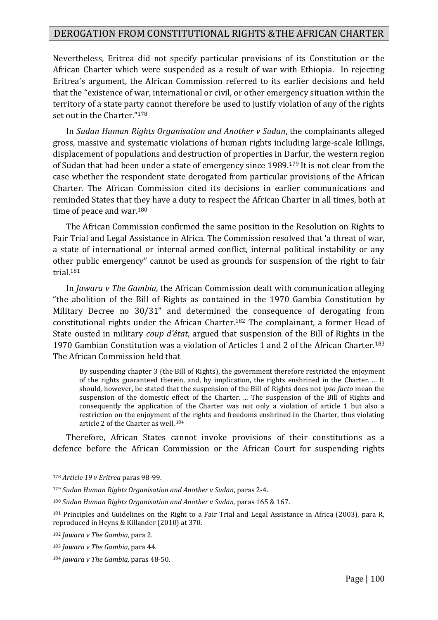Nevertheless, Eritrea did not specify particular provisions of its Constitution or the African Charter which were suspended as a result of war with Ethiopia. In rejecting Eritrea's argument, the African Commission referred to its earlier decisions and held that the "existence of war, international or civil, or other emergency situation within the territory of a state party cannot therefore be used to justify violation of any of the rights set out in the Charter."<sup>178</sup>

In *Sudan Human Rights Organisation and Another v Sudan*, the complainants alleged gross, massive and systematic violations of human rights including large-scale killings, displacement of populations and destruction of properties in Darfur, the western region of Sudan that had been under a state of emergency since 1989.<sup>179</sup> It is not clear from the case whether the respondent state derogated from particular provisions of the African Charter. The African Commission cited its decisions in earlier communications and reminded States that they have a duty to respect the African Charter in all times, both at time of peace and war.<sup>180</sup>

The African Commission confirmed the same position in the Resolution on Rights to Fair Trial and Legal Assistance in Africa. The Commission resolved that 'a threat of war, a state of international or internal armed conflict, internal political instability or any other public emergency" cannot be used as grounds for suspension of the right to fair trial.<sup>181</sup>

In *Jawara v The Gambia*, the African Commission dealt with communication alleging "the abolition of the Bill of Rights as contained in the 1970 Gambia Constitution by Military Decree no 30/31" and determined the consequence of derogating from constitutional rights under the African Charter.<sup>182</sup> The complainant, a former Head of State ousted in military *coup d'état*, argued that suspension of the Bill of Rights in the 1970 Gambian Constitution was a violation of Articles 1 and 2 of the African Charter.<sup>183</sup> The African Commission held that

By suspending chapter 3 (the Bill of Rights), the government therefore restricted the enjoyment of the rights guaranteed therein, and, by implication, the rights enshrined in the Charter. ... It should, however, be stated that the suspension of the Bill of Rights does not *ipso facto* mean the suspension of the domestic effect of the Charter. ... The suspension of the Bill of Rights and consequently the application of the Charter was not only a violation of article 1 but also a restriction on the enjoyment of the rights and freedoms enshrined in the Charter, thus violating article 2 of the Charter as well. <sup>184</sup>

Therefore, African States cannot invoke provisions of their constitutions as a defence before the African Commission or the African Court for suspending rights

<sup>178</sup> *Article 19 v Eritrea* paras 98-99.

<sup>179</sup> *Sudan Human Rights Organisation and Another v Sudan*, paras 2-4.

<sup>180</sup> *Sudan Human Rights Organisation and Another v Sudan,* paras 165 & 167.

<sup>&</sup>lt;sup>181</sup> Principles and Guidelines on the Right to a Fair Trial and Legal Assistance in Africa (2003), para R, reproduced in Heyns & Killander (2010) at 370.

<sup>182</sup> *Jawara v The Gambia*, para 2.

<sup>183</sup> *Jawara v The Gambia,* para 44*.*

<sup>184</sup> *Jawara v The Gambia,* paras 48-50*.*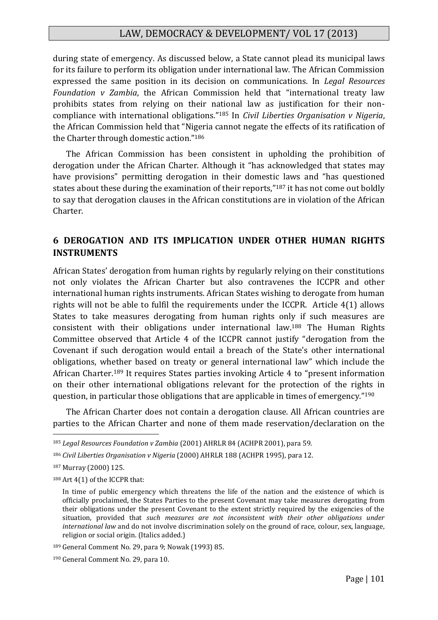during state of emergency. As discussed below, a State cannot plead its municipal laws for its failure to perform its obligation under international law. The African Commission expressed the same position in its decision on communications. In *Legal Resources Foundation v Zambia*, the African Commission held that "international treaty law prohibits states from relying on their national law as justification for their noncompliance with international obligations."<sup>185</sup> In *Civil Liberties Organisation v Nigeria*, the African Commission held that "Nigeria cannot negate the effects of its ratification of the Charter through domestic action."<sup>186</sup>

The African Commission has been consistent in upholding the prohibition of derogation under the African Charter. Although it "has acknowledged that states may have provisions" permitting derogation in their domestic laws and "has questioned states about these during the examination of their reports,"<sup>187</sup> it has not come out boldly to say that derogation clauses in the African constitutions are in violation of the African Charter.

## **6 DEROGATION AND ITS IMPLICATION UNDER OTHER HUMAN RIGHTS INSTRUMENTS**

African States' derogation from human rights by regularly relying on their constitutions not only violates the African Charter but also contravenes the ICCPR and other international human rights instruments. African States wishing to derogate from human rights will not be able to fulfil the requirements under the ICCPR. Article 4(1) allows States to take measures derogating from human rights only if such measures are consistent with their obligations under international law.<sup>188</sup> The Human Rights Committee observed that Article 4 of the ICCPR cannot justify "derogation from the Covenant if such derogation would entail a breach of the State's other international obligations, whether based on treaty or general international law" which include the African Charter.<sup>189</sup> It requires States parties invoking Article 4 to "present information on their other international obligations relevant for the protection of the rights in question, in particular those obligations that are applicable in times of emergency."<sup>190</sup>

The African Charter does not contain a derogation clause. All African countries are parties to the African Charter and none of them made reservation/declaration on the

<u>.</u>

188 Art 4(1) of the ICCPR that:

<sup>185</sup> *Legal Resources Foundation v Zambia* (2001) AHRLR 84 (ACHPR 2001), para 59.

<sup>186</sup> *Civil Liberties Organisation v Nigeria* (2000) AHRLR 188 (ACHPR 1995), para 12.

<sup>187</sup> Murray (2000) 125.

In time of public emergency which threatens the life of the nation and the existence of which is officially proclaimed, the States Parties to the present Covenant may take measures derogating from their obligations under the present Covenant to the extent strictly required by the exigencies of the situation, provided that *such measures are not inconsistent with their other obligations under international law* and do not involve discrimination solely on the ground of race, colour, sex, language, religion or social origin. (Italics added.)

<sup>189</sup> General Comment No. 29, para 9; Nowak (1993) 85.

<sup>190</sup> General Comment No. 29, para 10.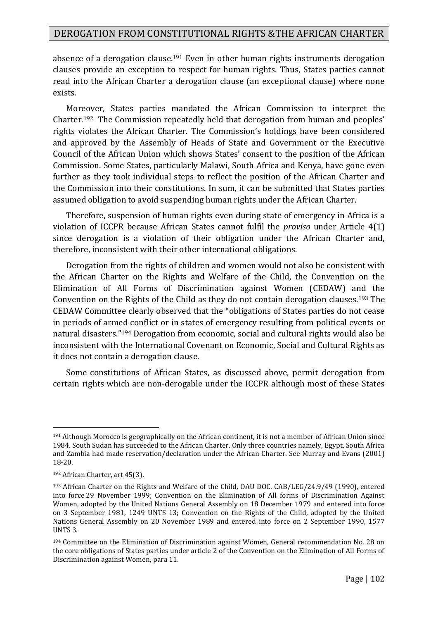absence of a derogation clause.<sup>191</sup> Even in other human rights instruments derogation clauses provide an exception to respect for human rights. Thus, States parties cannot read into the African Charter a derogation clause (an exceptional clause) where none exists.

Moreover, States parties mandated the African Commission to interpret the Charter.<sup>192</sup> The Commission repeatedly held that derogation from human and peoples' rights violates the African Charter. The Commission's holdings have been considered and approved by the Assembly of Heads of State and Government or the Executive Council of the African Union which shows States' consent to the position of the African Commission. Some States, particularly Malawi, South Africa and Kenya, have gone even further as they took individual steps to reflect the position of the African Charter and the Commission into their constitutions. In sum, it can be submitted that States parties assumed obligation to avoid suspending human rights under the African Charter.

Therefore, suspension of human rights even during state of emergency in Africa is a violation of ICCPR because African States cannot fulfil the *proviso* under Article 4(1) since derogation is a violation of their obligation under the African Charter and, therefore, inconsistent with their other international obligations.

Derogation from the rights of children and women would not also be consistent with the African Charter on the Rights and Welfare of the Child, the Convention on the Elimination of All Forms of Discrimination against Women (CEDAW) and the Convention on the Rights of the Child as they do not contain derogation clauses.<sup>193</sup> The CEDAW Committee clearly observed that the "obligations of States parties do not cease in periods of armed conflict or in states of emergency resulting from political events or natural disasters."<sup>194</sup> Derogation from economic, social and cultural rights would also be inconsistent with the International Covenant on Economic, Social and Cultural Rights as it does not contain a derogation clause.

Some constitutions of African States, as discussed above, permit derogation from certain rights which are non-derogable under the ICCPR although most of these States

<sup>191</sup> Although Morocco is geographically on the African continent, it is not a member of African Union since 1984. South Sudan has succeeded to the African Charter. Only three countries namely, Egypt, South Africa and Zambia had made reservation/declaration under the African Charter. See Murray and Evans (2001) 18-20.

<sup>192</sup> African Charter, art 45(3).

<sup>193</sup> African Charter on the Rights and Welfare of the Child, OAU DOC. CAB/LEG/24.9/49 (1990), entered into force 29 November 1999; Convention on the Elimination of All forms of Discrimination Against Women, adopted by the United Nations General Assembly on 18 December 1979 and entered into force on 3 September 1981, 1249 UNTS 13; Convention on the Rights of the Child, adopted by the United Nations General Assembly on 20 November 1989 and entered into force on 2 September 1990, 1577 UNTS 3.

<sup>194</sup> Committee on the Elimination of Discrimination against Women, General recommendation No. 28 on the core obligations of States parties under article 2 of the Convention on the Elimination of All Forms of Discrimination against Women, para 11.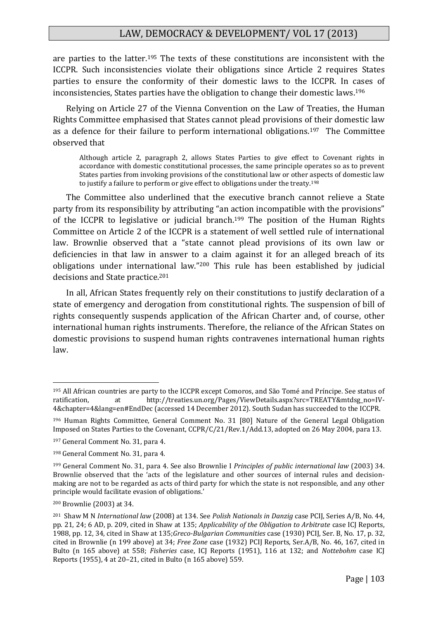are parties to the latter.<sup>195</sup> The texts of these constitutions are inconsistent with the ICCPR. Such inconsistencies violate their obligations since Article 2 requires States parties to ensure the conformity of their domestic laws to the ICCPR. In cases of inconsistencies, States parties have the obligation to change their domestic laws.<sup>196</sup>

Relying on Article 27 of the Vienna Convention on the Law of Treaties, the Human Rights Committee emphasised that States cannot plead provisions of their domestic law as a defence for their failure to perform international obligations.197 The Committee observed that

Although article 2, paragraph 2, allows States Parties to give effect to Covenant rights in accordance with domestic constitutional processes, the same principle operates so as to prevent States parties from invoking provisions of the constitutional law or other aspects of domestic law to justify a failure to perform or give effect to obligations under the treaty.<sup>198</sup>

The Committee also underlined that the executive branch cannot relieve a State party from its responsibility by attributing "an action incompatible with the provisions" of the ICCPR to legislative or judicial branch.<sup>199</sup> The position of the Human Rights Committee on Article 2 of the ICCPR is a statement of well settled rule of international law. Brownlie observed that a "state cannot plead provisions of its own law or deficiencies in that law in answer to a claim against it for an alleged breach of its obligations under international law."<sup>200</sup> This rule has been established by judicial decisions and State practice.<sup>201</sup>

In all, African States frequently rely on their constitutions to justify declaration of a state of emergency and derogation from constitutional rights. The suspension of bill of rights consequently suspends application of the African Charter and, of course, other international human rights instruments. Therefore, the reliance of the African States on domestic provisions to suspend human rights contravenes international human rights law.

<sup>195</sup> All African countries are party to the ICCPR except Comoros, and São Tomé and Príncipe. See status of ratification, at http://treaties.un.org/Pages/ViewDetails.aspx?src=TREATY&mtdsg\_no=IV-4&chapter=4&lang=en#EndDec (accessed 14 December 2012). South Sudan has succeeded to the ICCPR.

<sup>196</sup> Human Rights Committee, General Comment No. 31 [80] Nature of the General Legal Obligation Imposed on States Parties to the Covenant, CCPR/C/21/Rev.1/Add.13, adopted on 26 May 2004, para 13.

<sup>197</sup> General Comment No. 31, para 4.

<sup>198</sup> General Comment No. 31, para 4.

<sup>199</sup> General Comment No. 31, para 4. See also Brownlie I *Principles of public international law* (2003) 34. Brownlie observed that the 'acts of the legislature and other sources of internal rules and decisionmaking are not to be regarded as acts of third party for which the state is not responsible, and any other principle would facilitate evasion of obligations.'

<sup>200</sup> Brownlie (2003) at 34.

<sup>201</sup> Shaw M N *International law* (2008) at 134. See *Polish Nationals in Danzig* case PCIJ, Series A/B, No. 44, pp. 21, 24; 6 AD, p. 209, cited in Shaw at 135; *Applicability of the Obligation to Arbitrate* case ICJ Reports, 1988, pp. 12, 34, cited in Shaw at 135;*Greco-Bulgarian Communities* case (1930) PCIJ, Ser. B, No. 17, p. 32, cited in Brownlie (n 199 above) at 34; *Free Zone* case (1932) PCIJ Reports, Ser.A/B, No. 46, 167, cited in Bulto (n 165 above) at 558; *Fisheries* case, ICJ Reports (1951), 116 at 132; and *Nottebohm* case ICJ Reports (1955), 4 at 20–21, cited in Bulto (n 165 above) 559.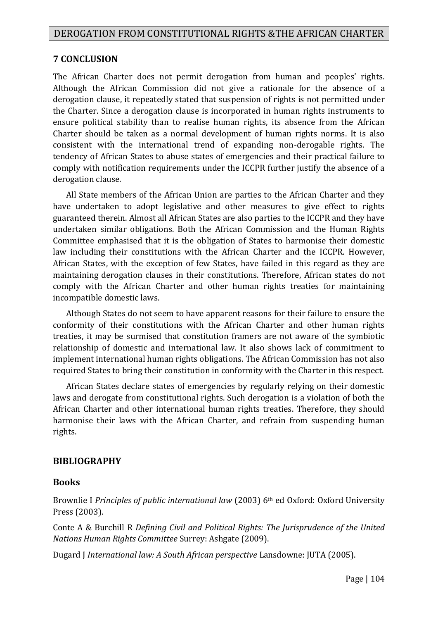#### **7 CONCLUSION**

The African Charter does not permit derogation from human and peoples' rights. Although the African Commission did not give a rationale for the absence of a derogation clause, it repeatedly stated that suspension of rights is not permitted under the Charter. Since a derogation clause is incorporated in human rights instruments to ensure political stability than to realise human rights, its absence from the African Charter should be taken as a normal development of human rights norms. It is also consistent with the international trend of expanding non-derogable rights. The tendency of African States to abuse states of emergencies and their practical failure to comply with notification requirements under the ICCPR further justify the absence of a derogation clause.

All State members of the African Union are parties to the African Charter and they have undertaken to adopt legislative and other measures to give effect to rights guaranteed therein. Almost all African States are also parties to the ICCPR and they have undertaken similar obligations. Both the African Commission and the Human Rights Committee emphasised that it is the obligation of States to harmonise their domestic law including their constitutions with the African Charter and the ICCPR. However, African States, with the exception of few States, have failed in this regard as they are maintaining derogation clauses in their constitutions. Therefore, African states do not comply with the African Charter and other human rights treaties for maintaining incompatible domestic laws.

Although States do not seem to have apparent reasons for their failure to ensure the conformity of their constitutions with the African Charter and other human rights treaties, it may be surmised that constitution framers are not aware of the symbiotic relationship of domestic and international law. It also shows lack of commitment to implement international human rights obligations. The African Commission has not also required States to bring their constitution in conformity with the Charter in this respect.

African States declare states of emergencies by regularly relying on their domestic laws and derogate from constitutional rights. Such derogation is a violation of both the African Charter and other international human rights treaties. Therefore, they should harmonise their laws with the African Charter, and refrain from suspending human rights.

#### **BIBLIOGRAPHY**

#### **Books**

Brownlie I *Principles of public international law* (2003) 6th ed Oxford: Oxford University Press (2003).

Conte A & Burchill R *Defining Civil and Political Rights: The Jurisprudence of the United Nations Human Rights Committee* Surrey: Ashgate (2009).

Dugard J *International law: A South African perspective* Lansdowne: JUTA (2005).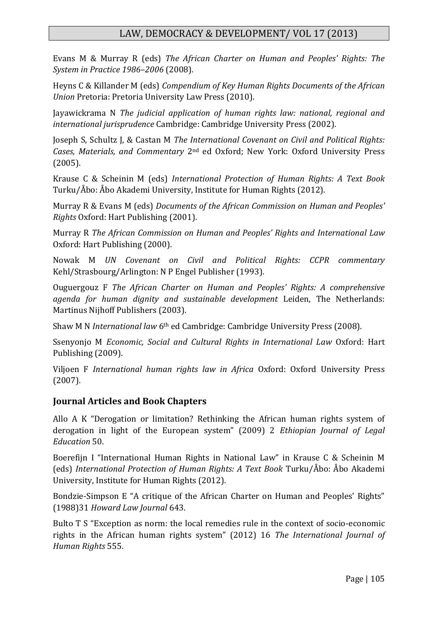Evans M & Murray R (eds) *The African Charter on Human and Peoples' Rights: The System in Practice 1986–2006* (2008).

Heyns C & Killander M (eds) *Compendium of Key Human Rights Documents of the African Union* Pretoria: Pretoria University Law Press (2010).

Jayawickrama N *The judicial application of human rights law: national, regional and international jurisprudence* Cambridge: Cambridge University Press (2002).

Joseph S, Schultz J, & Castan M *The International Covenant on Civil and Political Rights: Cases, Materials, and Commentary* 2nd ed Oxford; New York: Oxford University Press (2005).

Krause C & Scheinin M (eds) *International Protection of Human Rights: A Text Book* Turku/Åbo: Åbo Akademi University, Institute for Human Rights (2012).

Murray R & Evans M (eds) *Documents of the African Commission on Human and Peoples' Rights* Oxford: Hart Publishing (2001).

Murray R *The African Commission on Human and Peoples' Rights and International Law* Oxford: Hart Publishing (2000).

Nowak M *UN Covenant on Civil and Political Rights: CCPR commentary* Kehl/Strasbourg/Arlington: N P Engel Publisher (1993).

Ouguergouz F *The African Charter on Human and Peoples' Rights: A comprehensive agenda for human dignity and sustainable development* Leiden, The Netherlands: Martinus Nijhoff Publishers (2003).

Shaw M N *International law* 6th ed Cambridge: Cambridge University Press (2008).

Ssenyonjo M *Economic, Social and Cultural Rights in International Law* Oxford: Hart Publishing (2009).

Viljoen F *International human rights law in Africa* Oxford: Oxford University Press (2007).

#### **Journal Articles and Book Chapters**

Allo A K "Derogation or limitation? Rethinking the African human rights system of derogation in light of the European system" (2009) 2 *Ethiopian Journal of Legal Education* 50.

Boerefijn I "International Human Rights in National Law" in Krause C & Scheinin M (eds) *International Protection of Human Rights: A Text Book* Turku/Åbo: Åbo Akademi University, Institute for Human Rights (2012).

Bondzie-Simpson E "A critique of the African Charter on Human and Peoples' Rights" (1988)31 *Howard Law Journal* 643.

Bulto T S "Exception as norm: the local remedies rule in the context of socio-economic rights in the African human rights system" (2012) 16 *The International Journal of Human Rights* 555.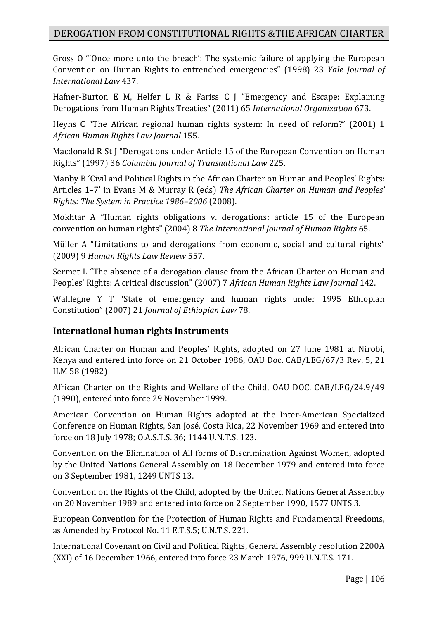Gross O "'Once more unto the breach': The systemic failure of applying the European Convention on Human Rights to entrenched emergencies" (1998) 23 *Yale Journal of International Law* 437.

Hafner-Burton E M, Helfer L R & Fariss C J "Emergency and Escape: Explaining Derogations from Human Rights Treaties" (2011) 65 *International Organization* 673.

Heyns C "The African regional human rights system: In need of reform?" (2001) 1 *African Human Rights Law Journal* 155.

Macdonald R St J "Derogations under Article 15 of the European Convention on Human Rights" (1997) 36 *Columbia Journal of Transnational Law* 225.

Manby B 'Civil and Political Rights in the African Charter on Human and Peoples' Rights: Articles 1–7' in Evans M & Murray R (eds) *The African Charter on Human and Peoples' Rights: The System in Practice 1986–2006* (2008).

Mokhtar A "Human rights obligations v. derogations: article 15 of the European convention on human rights" (2004) 8 *The International Journal of Human Rights* 65.

Müller A "Limitations to and derogations from economic, social and cultural rights" (2009) 9 *Human Rights Law Review* 557.

Sermet L "The absence of a derogation clause from the African Charter on Human and Peoples' Rights: A critical discussion" (2007) 7 *African Human Rights Law Journal* 142.

Walilegne Y T "State of emergency and human rights under 1995 Ethiopian Constitution" (2007) 21 *Journal of Ethiopian Law* 78.

## **International human rights instruments**

African Charter on Human and Peoples' Rights, adopted on 27 June 1981 at Nirobi, Kenya and entered into force on 21 October 1986, OAU Doc. CAB/LEG/67/3 Rev. 5, 21 ILM 58 (1982)

African Charter on the Rights and Welfare of the Child, OAU DOC. CAB/LEG/24.9/49 (1990), entered into force 29 November 1999.

American Convention on Human Rights adopted at the Inter-American Specialized Conference on Human Rights, San José, Costa Rica, 22 November 1969 and entered into force on 18 July 1978; O.A.S.T.S. 36; 1144 U.N.T.S. 123.

Convention on the Elimination of All forms of Discrimination Against Women, adopted by the United Nations General Assembly on 18 December 1979 and entered into force on 3 September 1981, 1249 UNTS 13.

Convention on the Rights of the Child, adopted by the United Nations General Assembly on 20 November 1989 and entered into force on 2 September 1990, 1577 UNTS 3.

European Convention for the Protection of Human Rights and Fundamental Freedoms, as Amended by Protocol No. 11 E.T.S.5; U.N.T.S. 221.

International Covenant on Civil and Political Rights, General Assembly resolution 2200A (XXI) of 16 December 1966, entered into force 23 March 1976, 999 U.N.T.S. 171.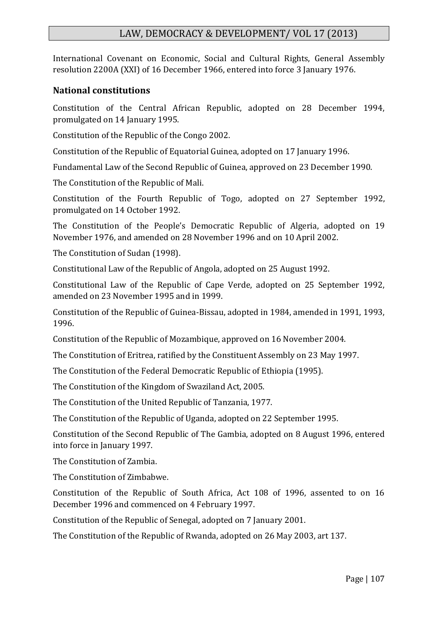International Covenant on Economic, Social and Cultural Rights, General Assembly resolution 2200A (XXI) of 16 December 1966, entered into force 3 January 1976.

#### **National constitutions**

Constitution of the Central African Republic, adopted on 28 December 1994, promulgated on 14 January 1995.

Constitution of the Republic of the Congo 2002.

Constitution of the Republic of Equatorial Guinea, adopted on 17 January 1996.

Fundamental Law of the Second Republic of Guinea, approved on 23 December 1990.

The Constitution of the Republic of Mali.

Constitution of the Fourth Republic of Togo, adopted on 27 September 1992, promulgated on 14 October 1992.

The Constitution of the People's Democratic Republic of Algeria, adopted on 19 November 1976, and amended on 28 November 1996 and on 10 April 2002.

The Constitution of Sudan (1998).

Constitutional Law of the Republic of Angola, adopted on 25 August 1992.

Constitutional Law of the Republic of Cape Verde, adopted on 25 September 1992, amended on 23 November 1995 and in 1999.

Constitution of the Republic of Guinea-Bissau, adopted in 1984, amended in 1991, 1993, 1996.

Constitution of the Republic of Mozambique, approved on 16 November 2004.

The Constitution of Eritrea, ratified by the Constituent Assembly on 23 May 1997.

The Constitution of the Federal Democratic Republic of Ethiopia (1995).

The Constitution of the Kingdom of Swaziland Act, 2005.

The Constitution of the United Republic of Tanzania, 1977.

The Constitution of the Republic of Uganda, adopted on 22 September 1995.

Constitution of the Second Republic of The Gambia, adopted on 8 August 1996, entered into force in January 1997.

The Constitution of Zambia.

The Constitution of Zimbabwe.

Constitution of the Republic of South Africa, Act 108 of 1996, assented to on 16 December 1996 and commenced on 4 February 1997.

Constitution of the Republic of Senegal, adopted on 7 January 2001.

The Constitution of the Republic of Rwanda, adopted on 26 May 2003, art 137.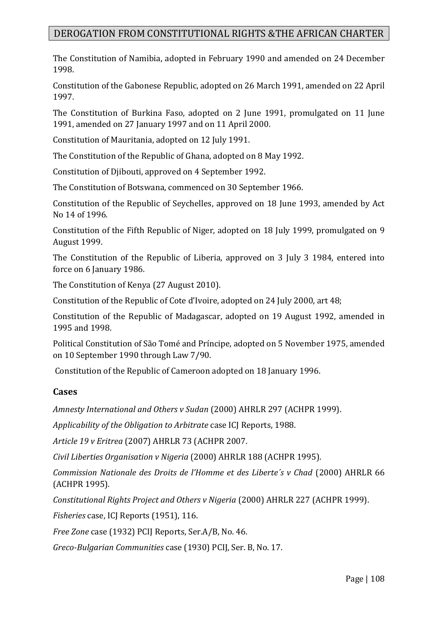The Constitution of Namibia, adopted in February 1990 and amended on 24 December 1998.

Constitution of the Gabonese Republic, adopted on 26 March 1991, amended on 22 April 1997.

The Constitution of Burkina Faso, adopted on 2 June 1991, promulgated on 11 June 1991, amended on 27 January 1997 and on 11 April 2000.

Constitution of Mauritania, adopted on 12 July 1991.

The Constitution of the Republic of Ghana, adopted on 8 May 1992.

Constitution of Djibouti, approved on 4 September 1992.

The Constitution of Botswana, commenced on 30 September 1966.

Constitution of the Republic of Seychelles, approved on 18 June 1993, amended by Act No 14 of 1996.

Constitution of the Fifth Republic of Niger, adopted on 18 July 1999, promulgated on 9 August 1999.

The Constitution of the Republic of Liberia, approved on 3 July 3 1984, entered into force on 6 January 1986.

The Constitution of Kenya (27 August 2010).

Constitution of the Republic of Cote d'Ivoire, adopted on 24 July 2000, art 48;

Constitution of the Republic of Madagascar, adopted on 19 August 1992, amended in 1995 and 1998.

Political Constitution of São Tomé and Príncipe, adopted on 5 November 1975, amended on 10 September 1990 through Law 7/90.

Constitution of the Republic of Cameroon adopted on 18 January 1996.

#### **Cases**

*Amnesty International and Others v Sudan* (2000) AHRLR 297 (ACHPR 1999).

*Applicability of the Obligation to Arbitrate* case ICJ Reports, 1988.

*Article 19 v Eritrea* (2007) AHRLR 73 (ACHPR 2007.

*Civil Liberties Organisation v Nigeria* (2000) AHRLR 188 (ACHPR 1995).

*Commission Nationale des Droits de l'Homme et des Liberte´s v Chad* (2000) AHRLR 66 (ACHPR 1995).

*Constitutional Rights Project and Others v Nigeria* (2000) AHRLR 227 (ACHPR 1999).

*Fisheries* case, ICJ Reports (1951), 116.

*Free Zone* case (1932) PCIJ Reports, Ser.A/B, No. 46.

*Greco-Bulgarian Communities* case (1930) PCIJ, Ser. B, No. 17.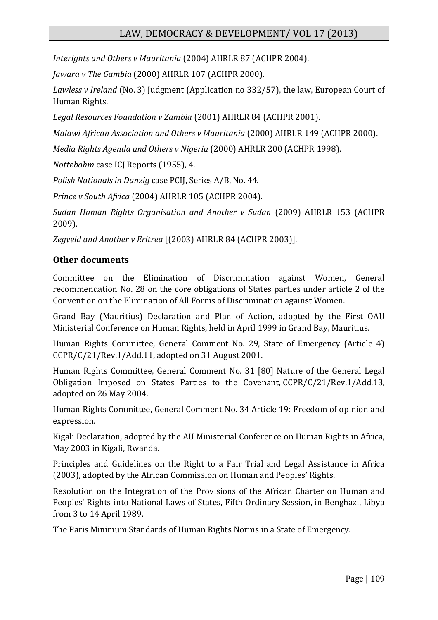*Interights and Others v Mauritania* (2004) AHRLR 87 (ACHPR 2004).

*Jawara v The Gambia* (2000) AHRLR 107 (ACHPR 2000).

*Lawless v Ireland* (No. 3) Judgment (Application no 332/57), the law, European Court of Human Rights.

*Legal Resources Foundation v Zambia* (2001) AHRLR 84 (ACHPR 2001).

*Malawi African Association and Others v Mauritania* (2000) AHRLR 149 (ACHPR 2000).

*Media Rights Agenda and Others v Nigeria* (2000) AHRLR 200 (ACHPR 1998).

*Nottebohm* case ICJ Reports (1955), 4.

*Polish Nationals in Danzig* case PCIJ, Series A/B, No. 44.

*Prince v South Africa* (2004) AHRLR 105 (ACHPR 2004).

*Sudan Human Rights Organisation and Another v Sudan* (2009) AHRLR 153 (ACHPR 2009).

*Zegveld and Another v Eritrea* [(2003) AHRLR 84 (ACHPR 2003)].

#### **Other documents**

Committee on the Elimination of Discrimination against Women, General recommendation No. 28 on the core obligations of States parties under article 2 of the Convention on the Elimination of All Forms of Discrimination against Women.

Grand Bay (Mauritius) Declaration and Plan of Action, adopted by the First OAU Ministerial Conference on Human Rights, held in April 1999 in Grand Bay, Mauritius.

Human Rights Committee, General Comment No. 29, State of Emergency (Article 4) CCPR/C/21/Rev.1/Add.11, adopted on 31 August 2001.

Human Rights Committee, General Comment No. 31 [80] Nature of the General Legal Obligation Imposed on States Parties to the Covenant, CCPR/C/21/Rev.1/Add.13, adopted on 26 May 2004.

Human Rights Committee, General Comment No. 34 Article 19: Freedom of opinion and expression.

Kigali Declaration, adopted by the AU Ministerial Conference on Human Rights in Africa, May 2003 in Kigali, Rwanda.

Principles and Guidelines on the Right to a Fair Trial and Legal Assistance in Africa (2003), adopted by the African Commission on Human and Peoples' Rights.

Resolution on the Integration of the Provisions of the African Charter on Human and Peoples' Rights into National Laws of States, Fifth Ordinary Session, in Benghazi, Libya from 3 to 14 April 1989.

The Paris Minimum Standards of Human Rights Norms in a State of Emergency.